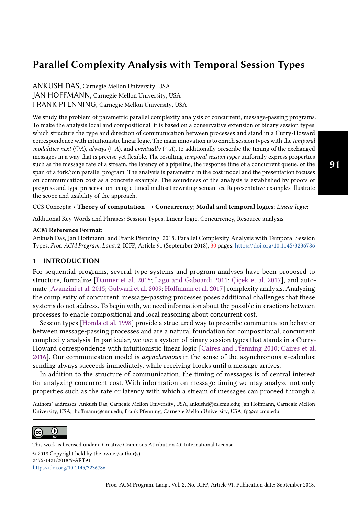ANKUSH DAS, Carnegie Mellon University, USA JAN HOFFMANN, Carnegie Mellon University, USA FRANK PFENNING, Carnegie Mellon University, USA

We study the problem of parametric parallel complexity analysis of concurrent, message-passing programs. To make the analysis local and compositional, it is based on a conservative extension of binary session types, which structure the type and direction of communication between processes and stand in a Curry-Howard correspondence with intuitionistic linear logic. The main innovation is to enrich session types with the temporal modalities next (○A), always ( $\Box A$ ), and eventually (◇A), to additionally prescribe the timing of the exchanged messages in a way that is precise yet flexible. The resulting temporal session types uniformly express properties such as the message rate of a stream, the latency of a pipeline, the response time of a concurrent queue, or the span of a fork/join parallel program. The analysis is parametric in the cost model and the presentation focuses on communication cost as a concrete example. The soundness of the analysis is established by proofs of progress and type preservation using a timed multiset rewriting semantics. Representative examples illustrate the scope and usability of the approach.

CCS Concepts: • Theory of computation  $\rightarrow$  Concurrency; Modal and temporal logics; Linear logic;

Additional Key Words and Phrases: Session Types, Linear logic, Concurrency, Resource analysis

#### ACM Reference Format:

Ankush Das, Jan Hoffmann, and Frank Pfenning. 2018. Parallel Complexity Analysis with Temporal Session Types. Proc. ACM Program. Lang. 2, ICFP, Article 91 (September 2018), [30](#page-29-0) pages. <https://doi.org/10.1145/3236786>

#### <span id="page-0-0"></span>**INTRODUCTION**

For sequential programs, several type systems and program analyses have been proposed to structure, formalize [\[Danner et al.](#page-28-0) [2015;](#page-28-0) [Lago and Gaboardi 2011;](#page-29-1) [Çiçek et al.](#page-29-2) [2017\]](#page-29-2), and automate [\[Avanzini et al.](#page-28-1) [2015;](#page-28-1) [Gulwani et al.](#page-28-2) [2009;](#page-28-2) [Hoffmann et al.](#page-28-3) [2017\]](#page-28-3) complexity analysis. Analyzing the complexity of concurrent, message-passing processes poses additional challenges that these systems do not address. To begin with, we need information about the possible interactions between processes to enable compositional and local reasoning about concurrent cost.

Session types [\[Honda et al.](#page-28-4) [1998\]](#page-28-4) provide a structured way to prescribe communication behavior between message-passing processes and are a natural foundation for compositional, concurrent complexity analysis. In particular, we use a system of binary session types that stands in a Curry-Howard correspondence with intuitionistic linear logic [\[Caires and Pfenning 2010;](#page-28-5) [Caires et al.](#page-28-6) [2016\]](#page-28-6). Our communication model is *asynchronous* in the sense of the asynchronous  $\pi$ -calculus: sending always succeeds immediately, while receiving blocks until a message arrives.

In addition to the structure of communication, the timing of messages is of central interest for analyzing concurrent cost. With information on message timing we may analyze not only properties such as the rate or latency with which a stream of messages can proceed through a

Authors' addresses: Ankush Das, Carnegie Mellon University, USA, ankushd@cs.cmu.edu; Jan Hoffmann, Carnegie Mellon University, USA, jhoffmann@cmu.edu; Frank Pfenning, Carnegie Mellon University, USA, fp@cs.cmu.edu.



This work is licensed under a Creative Commons Attribution 4.0 International License. © 2018 Copyright held by the owner/author(s). 2475-1421/2018/9-ART91 <https://doi.org/10.1145/3236786>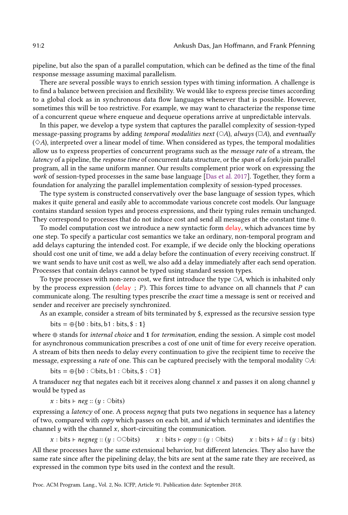pipeline, but also the span of a parallel computation, which can be defined as the time of the final response message assuming maximal parallelism.

There are several possible ways to enrich session types with timing information. A challenge is to find a balance between precision and flexibility. We would like to express precise times according to a global clock as in synchronous data flow languages whenever that is possible. However, sometimes this will be too restrictive. For example, we may want to characterize the response time of a concurrent queue where enqueue and dequeue operations arrive at unpredictable intervals.

In this paper, we develop a type system that captures the parallel complexity of session-typed message-passing programs by adding temporal modalities next ( $\circ$ A), always ( $\Box$ A), and eventually  $(\Diamond A)$ , interpreted over a linear model of time. When considered as types, the temporal modalities allow us to express properties of concurrent programs such as the message rate of a stream, the latency of a pipeline, the response time of concurrent data structure, or the span of a fork/join parallel program, all in the same uniform manner. Our results complement prior work on expressing the work of session-typed processes in the same base language [\[Das et al.](#page-28-7) [2017\]](#page-28-7). Together, they form a foundation for analyzing the parallel implementation complexity of session-typed processes.

The type system is constructed conservatively over the base language of session types, which makes it quite general and easily able to accommodate various concrete cost models. Our language contains standard session types and process expressions, and their typing rules remain unchanged. They correspond to processes that do not induce cost and send all messages at the constant time 0.

To model computation cost we introduce a new syntactic form delay, which advances time by one step. To specify a particular cost semantics we take an ordinary, non-temporal program and add delays capturing the intended cost. For example, if we decide only the blocking operations should cost one unit of time, we add a delay before the continuation of every receiving construct. If we want sends to have unit cost as well, we also add a delay immediately after each send operation. Processes that contain delays cannot be typed using standard session types.

To type processes with non-zero cost, we first introduce the type  $\circ A$ , which is inhabited only by the process expression (delay ;  $P$ ). This forces time to advance on all channels that  $P$  can communicate along. The resulting types prescribe the exact time a message is sent or received and sender and receiver are precisely synchronized.

As an example, consider a stream of bits terminated by \$, expressed as the recursive session type

 $bits = \bigoplus \{b0 : bits, b1 : bits, \$ : 1\}$ 

where ⊕ stands for *internal choice* and 1 for *termination*, ending the session. A simple cost model for asynchronous communication prescribes a cost of one unit of time for every receive operation. A stream of bits then needs to delay every continuation to give the recipient time to receive the message, expressing a *rate* of one. This can be captured precisely with the temporal modality  $\bigcirc A$ :

bits =  $\oplus$ {b0 : ○bits, b1 : ○bits, \$ : ○1}

A transducer neg that negates each bit it receives along channel  $x$  and passes it on along channel  $y$ would be typed as

 $x : \text{bits} \vdash neg :: (y : \text{Obits})$ 

expressing a *latency* of one. A process *negneg* that puts two negations in sequence has a latency of two, compared with  $\text{copy}$  which passes on each bit, and id which terminates and identifies the channel  $\psi$  with the channel  $\chi$ , short-circuiting the communication.

x : bits ⊢ negneg ::  $(y : \odot \odot \text{bits})$  x : bits ⊢ copy ::  $(y : \odot \text{bits})$  x : bits ⊢ id ::  $(y : \text{bits})$ All these processes have the same extensional behavior, but different latencies. They also have the same rate since after the pipelining delay, the bits are sent at the same rate they are received, as expressed in the common type bits used in the context and the result.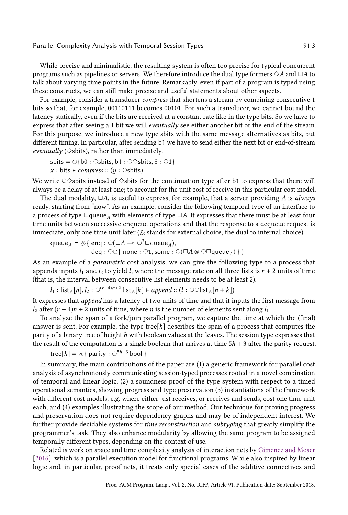While precise and minimalistic, the resulting system is often too precise for typical concurrent programs such as pipelines or servers. We therefore introduce the dual type formers  $\diamond A$  and  $\Box A$  to talk about varying time points in the future. Remarkably, even if part of a program is typed using these constructs, we can still make precise and useful statements about other aspects.

For example, consider a transducer *compress* that shortens a stream by combining consecutive 1 bits so that, for example, 00110111 becomes 00101. For such a transducer, we cannot bound the latency statically, even if the bits are received at a constant rate like in the type bits. So we have to express that after seeing a 1 bit we will eventually see either another bit or the end of the stream. For this purpose, we introduce a new type sbits with the same message alternatives as bits, but different timing. In particular, after sending b1 we have to send either the next bit or end-of-stream eventually ( $\diamond$ sbits), rather than immediately.

$$
sbits = \bigoplus \{b0 : \circ \text{Sbits}, b1 : \circ \circ \text{Sbits}, \$ : \circ 1\}
$$

$$
x : bits \vdash \text{compress} :: (y : \circ \text{Sbits})
$$

We write  $\circ \diamond$ sbits instead of  $\diamond$ sbits for the continuation type after b1 to express that there will always be a delay of at least one; to account for the unit cost of receive in this particular cost model.

The dual modality,  $\Box A$ , is useful to express, for example, that a server providing A is always ready, starting from "now". As an example, consider the following temporal type of an interface to a process of type  $\Box$ queue<sub>A</sub> with elements of type  $\Box A$ . It expresses that there must be at least four time units between successive enqueue operations and that the response to a dequeue request is immediate, only one time unit later  $(8$  stands for external choice, the dual to internal choice).

$$
\mathsf{queue}_A = \mathcal{A} \{ \text{ eng} : \bigcirc (\square A \multimap \bigcirc^3 \square \mathsf{queue}_A), \\ \text{ deg} : \bigcirc \oplus \{ \text{ none} : \bigcirc 1, \text{ some} : \bigcirc (\square A \otimes \bigcirc \square \mathsf{queue}_A) \} \}
$$

As an example of a parametric cost analysis, we can give the following type to a process that appends inputs  $l_1$  and  $l_2$  to yield l, where the message rate on all three lists is  $r + 2$  units of time (that is, the interval between consecutive list elements needs to be at least 2).

$$
l_1: list_A[n], l_2: \bigcirc^{(r+4)n+2} list_A[k] \vdash append :: (l: \bigcirc \bigcirc list_A[n+k]\big)
$$

It expresses that append has a latency of two units of time and that it inputs the first message from  $l_2$  after  $(r + 4)n + 2$  units of time, where *n* is the number of elements sent along  $l_1$ .

To analyze the span of a fork/join parallel program, we capture the time at which the (final) answer is sent. For example, the type tree[h] describes the span of a process that computes the parity of a binary tree of height h with boolean values at the leaves. The session type expresses that the result of the computation is a single boolean that arrives at time  $5h + 3$  after the parity request.

$$
tree[h] = \& \{ parity : \bigcirc^{5h+3} \text{bool} \}
$$

In summary, the main contributions of the paper are (1) a generic framework for parallel cost analysis of asynchronously communicating session-typed processes rooted in a novel combination of temporal and linear logic, (2) a soundness proof of the type system with respect to a timed operational semantics, showing progress and type preservation (3) instantiations of the framework with different cost models, e.g. where either just receives, or receives and sends, cost one time unit each, and (4) examples illustrating the scope of our method. Our technique for proving progress and preservation does not require dependency graphs and may be of independent interest. We further provide decidable systems for time reconstruction and subtyping that greatly simplify the programmer's task. They also enhance modularity by allowing the same program to be assigned temporally different types, depending on the context of use.

Related is work on space and time complexity analysis of interaction nets by [Gimenez and Moser](#page-28-8) [\[2016\]](#page-28-8), which is a parallel execution model for functional programs. While also inspired by linear logic and, in particular, proof nets, it treats only special cases of the additive connectives and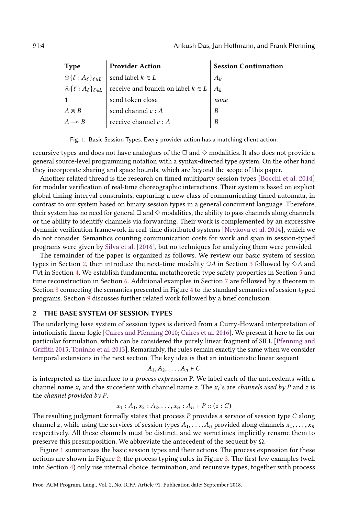<span id="page-3-1"></span>

| <b>Type</b>       | <b>Provider Action</b>                                                              | <b>Session Continuation</b> |
|-------------------|-------------------------------------------------------------------------------------|-----------------------------|
|                   | $\bigoplus \{\ell : A_{\ell}\}_{\ell \in L}$ send label $k \in L$                   | $A_k$                       |
|                   | $\&\{\ell : A_{\ell}\}_{\ell \in L}$ receive and branch on label $k \in L \mid A_k$ |                             |
|                   | send token close                                                                    | none                        |
| $A \otimes B$     | send channel $c : A$                                                                | B                           |
| $A \rightarrow B$ | receive channel $c : A$                                                             | B                           |

Fig. 1. Basic Session Types. Every provider action has a matching client action.

recursive types and does not have analogues of the  $\Box$  and  $\diamond$  modalities. It also does not provide a general source-level programming notation with a syntax-directed type system. On the other hand they incorporate sharing and space bounds, which are beyond the scope of this paper.

Another related thread is the research on timed multiparty session types [\[Bocchi et al.](#page-28-9) [2014\]](#page-28-9) for modular verification of real-time choreographic interactions. Their system is based on explicit global timing interval constraints, capturing a new class of communicating timed automata, in contrast to our system based on binary session types in a general concurrent language. Therefore, their system has no need for general  $\Box$  and  $\diamond$  modalities, the ability to pass channels along channels, or the ability to identify channels via forwarding. Their work is complemented by an expressive dynamic verification framework in real-time distributed systems [\[Neykova et al.](#page-29-3) [2014\]](#page-29-3), which we do not consider. Semantics counting communication costs for work and span in session-typed programs were given by [Silva et al.](#page-29-4) [\[2016\]](#page-29-4), but no techniques for analyzing them were provided.

The remainder of the paper is organized as follows. We review our basic system of session types in Section [2,](#page-3-0) then introduce the next-time modality  $\circ$ A in Section [3](#page-7-0) followed by  $\diamond$ A and  $\Box A$  in Section [4.](#page-10-0) We establish fundamental metatheoretic type safety properties in Section [5](#page-15-0) and time reconstruction in Section [6.](#page-17-0) Additional examples in Section [7](#page-20-0) are followed by a theorem in Section [8](#page-25-0) connecting the semantics presented in Figure [4](#page-6-0) to the standard semantics of session-typed programs. Section [9](#page-26-0) discusses further related work followed by a brief conclusion.

# <span id="page-3-0"></span>2 THE BASE SYSTEM OF SESSION TYPES

The underlying base system of session types is derived from a Curry-Howard interpretation of intutionistic linear logic [\[Caires and Pfenning 2010;](#page-28-5) [Caires et al.](#page-28-6) [2016\]](#page-28-6). We present it here to fix our particular formulation, which can be considered the purely linear fragment of SILL [\[Pfenning and](#page-29-5) [Griffith 2015;](#page-29-5) [Toninho et al.](#page-29-6) [2013\]](#page-29-6). Remarkably, the rules remain exactly the same when we consider temporal extensions in the next section. The key idea is that an intuitionistic linear sequent

$$
A_1, A_2, \ldots, A_n \vdash C
$$

is interpreted as the interface to a *process expression* P. We label each of the antecedents with a channel name  $x_i$  and the succedent with channel name  $z$ . The  $x_i$ 's are *channels used by*  $P$  and  $z$  is the channel provided by P.

$$
x_1 : A_1, x_2 : A_2, \ldots, x_n : A_n \vdash P :: (z : C)
$$

The resulting judgment formally states that process P provides a service of session type C along channel z, while using the services of session types  $A_1, \ldots, A_n$  provided along channels  $x_1, \ldots, x_n$ respectively. All these channels must be distinct, and we sometimes implicitly rename them to preserve this presupposition. We abbreviate the antecedent of the sequent by  $Ω$ .

Figure [1](#page-3-1) summarizes the basic session types and their actions. The process expression for these actions are shown in Figure [2;](#page-4-0) the process typing rules in Figure [3.](#page-5-0) The first few examples (well into Section [4\)](#page-10-0) only use internal choice, termination, and recursive types, together with process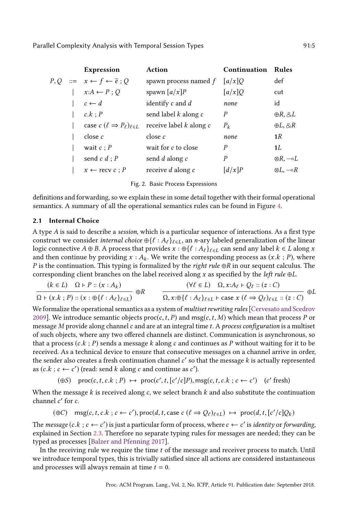<span id="page-4-0"></span>

|  | <b>Expression</b>                                     | Action                      | Continuation                     | <b>Rules</b>          |
|--|-------------------------------------------------------|-----------------------------|----------------------------------|-----------------------|
|  | $P, Q ::= x \leftarrow f \leftarrow \overline{e}$ ; Q | spawn process named f       | $\left\lceil a/x \right\rceil Q$ | def                   |
|  | $x:A \leftarrow P$ ; Q                                | spawn $\left[a/x\right]P$   | [a/x]Q                           | cut                   |
|  | $c \leftarrow d$                                      | identify $c$ and $d$        | none                             | id                    |
|  | c.k : P                                               | send label $k$ along $c$    | P                                | $\oplus R, \otimes L$ |
|  | case $c$ $(\ell \Rightarrow P_{\ell})_{\ell \in L}$   | receive label $k$ along $c$ | $P_k$                            | $\oplus L, \otimes R$ |
|  | close c                                               | close c                     | none                             | 1R                    |
|  | wait $c : P$                                          | wait for c to close         | P                                | 1L                    |
|  | send $c d$ ; $P$                                      | send d along c              | $\boldsymbol{P}$                 | ⊗ $R,$ ⊸ $L$          |
|  | $x \leftarrow$ recv $c : P$                           | receive $d$ along $c$       | $\left[ d/x\right] P$            | ⊗L.—∘R                |

Fig. 2. Basic Process Expressions

definitions and forwarding, so we explain these in some detail together with their formal operational semantics. A summary of all the operational semantics rules can be found in Figure [4.](#page-6-0)

#### 2.1 Internal Choice

A type A is said to describe a session, which is a particular sequence of interactions. As a first type construct we consider *internal choice*  $\bigoplus \{ \ell : A_{\ell} \}_{\ell \in L}$ , an *n*-ary labeled generalization of the linear logic connective  $A \oplus B$ . A process that provides  $x : \bigoplus \{ \ell : A_{\ell} \}_{\ell \in L}$  can send any label  $k \in L$  along x and then continue by providing  $x : A_k$ . We write the corresponding process as  $(x.k ; P)$ , where P is the continuation. This typing is formalized by the right rule ⊕R in our sequent calculus. The corresponding client branches on the label received along x as specified by the *left rule*  $oplus L$ .

$$
\frac{(k \in L) \quad \Omega \vdash P :: (x : A_k)}{\Omega \vdash (x.k; P) :: (x : \oplus \{\ell : A_{\ell}\}_{\ell \in L})} \quad \oplus R \qquad \frac{(\forall \ell \in L) \quad \Omega, x : A_{\ell} \vdash Q_{\ell} :: (z : C)}{\Omega, x : \oplus \{\ell : A_{\ell}\}_{\ell \in L} \vdash \text{case } x (\ell \Rightarrow Q_{\ell})_{\ell \in L} :: (z : C)} \quad \oplus L
$$

We formalize the operational semantics as a system of *multiset rewriting rules* [\[Cervesato and Scedrov](#page-28-10) [2009\]](#page-28-10). We introduce semantic objects  $proc(c, t, P)$  and msg(c, t, M) which mean that process P or message  $M$  provide along channel  $c$  and are at an integral time  $t$ . A process configuration is a multiset of such objects, where any two offered channels are distinct. Communication is asynchronous, so that a process  $(c.k ; P)$  sends a message k along c and continues as P without waiting for it to be received. As a technical device to ensure that consecutive messages on a channel arrive in order, the sender also creates a fresh continuation channel  $c'$  so that the message  $k$  is actually represented as  $(c.k ; c \leftarrow c')$  (read: send k along c and continue as c').

$$
(\oplus S) \quad \text{proc}(c, t, c. k; P) \; \mapsto \; \text{proc}(c', t, [c'/c]P), \text{msg}(c, t, c. k; c \leftarrow c') \quad (c' \text{ fresh})
$$

When the message  $k$  is received along  $c$ , we select branch  $k$  and also substitute the continuation channel c' for c.

$$
(\oplus C) \quad \text{msg}(c, t, c. k \, ; \, c \leftarrow c'), \text{proc}(d, t, \text{case } c \, (l \Rightarrow Q_{\ell})_{\ell \in L}) \ \mapsto \ \text{proc}(d, t, [c'/c]Q_{k})
$$

The message  $(c.k ; c \leftarrow c')$  is just a particular form of process, where  $c \leftarrow c'$  is *identity* or *forwarding*, explained in Section [2.3.](#page-5-1) Therefore no separate typing rules for messages are needed; they can be typed as processes [\[Balzer and Pfenning 2017\]](#page-28-11).

In the receiving rule we require the time t of the message and receiver process to match. Until we introduce temporal types, this is trivially satisfied since all actions are considered instantaneous and processes will always remain at time  $t = 0$ .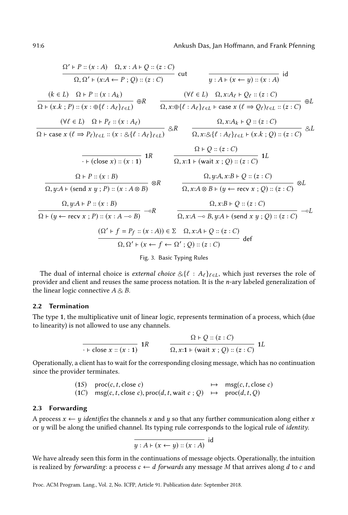<span id="page-5-0"></span>
$$
\frac{\Omega' + P :: (x : A) \quad \Omega, x : A + Q :: (z : C)}{\Omega, \Omega' + (x : A \leftarrow P ; Q) :: (z : C)} \text{ cut} \qquad \frac{}{\gamma : A + (x \leftarrow y) :: (x : A)} \text{ id}
$$
\n
$$
\frac{(k \in L) \quad \Omega + P :: (x : A_k)}{\Omega + (x \cdot k ; P) :: (x : \bigoplus \{ \ell : A_\ell \}_{\ell \in L})} \oplus R \qquad \frac{(\forall \ell \in L) \quad \Omega, x : A_\ell + Q_\ell :: (z : C)}{\Omega, x : \bigoplus \{ \ell : A_\ell \}_{\ell \in L} + \text{ case } x (\ell \Rightarrow Q_\ell)_{\ell \in L} :: (z : C)} \oplus L
$$
\n
$$
\frac{(\forall \ell \in L) \quad \Omega + P_\ell :: (x : A_\ell)}{\Omega + \text{ case } x (\ell \Rightarrow P_\ell)_{\ell \in L} :: (x : \bigotimes \{ \ell : A_\ell \}_{\ell \in L})} \bigotimes R \qquad \frac{\Omega, x : A_k + Q :: (z : C)}{\Omega, x : \bigotimes \{ \ell : A_\ell \}_{\ell \in L} + (x \cdot k ; Q) :: (z : C)} \bigotimes L
$$
\n
$$
\frac{\Omega + Q :: (z : C)}{\Omega, y : A + (\text{send } x y ; P) :: (x : B)} \text{ a } R \qquad \frac{\Omega, y : A, x : B + Q :: (z : C)}{\Omega, x : A \otimes B + (y \leftarrow \text{recv } x ; Q) :: (z : C)} \text{ a } L
$$
\n
$$
\frac{\Omega, y : A + P :: (x : B)}{\Omega + (y \leftarrow \text{recv } x ; P) :: (x : A \Rightarrow B)} \bigotimes R \qquad \frac{\Omega, x : A \otimes B + (y \leftarrow \text{recv } x ; Q) :: (z : C)}{\Omega, x : A + P :: (z : B)} \bigotimes R \qquad \frac{\Omega, x : B + Q :: (z : C)}{\Omega, x : A \Rightarrow B, y : A + (\text{send } x y ; Q) :: (z : C)} \bigotimes L
$$
\n
$$
\frac{(\Omega' + f = P_f :: (x : A)) \in \Sigma \quad \Omega, x : A + Q :: (z : C)}{\Omega, x : A + Q :: (z : C)} \text{ def}
$$
\nFig. 3. Basic Typing Rules

The dual of internal choice is external choice  $\&\{\ell : A_\ell\}_{\ell \in L}$ , which just reverses the role of provider and client and reuses the same process notation. It is the n-ary labeled generalization of the linear logic connective  $A \& B$ .

# 2.2 Termination

The type 1, the multiplicative unit of linear logic, represents termination of a process, which (due to linearity) is not allowed to use any channels.

$$
\frac{Q+Q::(z:C)}{\cdot \text{F close } x::(x:1)} \text{ 1R} \qquad \frac{Q+Q::(z:C)}{\Omega, x:1 \text{F (wait } x:Q)::(z:C)} \text{ 1L}
$$

Operationally, a client has to wait for the corresponding closing message, which has no continuation since the provider terminates.

(1S) 
$$
proc(c, t, close c)
$$
  $\rightarrow$   $msg(c, t, close c)$   
(1C)  $msg(c, t, close c), proc(d, t, wait c; Q) \rightarrow proc(d, t, Q)$ 

#### <span id="page-5-1"></span>2.3 Forwarding

A process  $x \leftarrow y$  *identifies* the channels x and y so that any further communication along either x or  $y$  will be along the unified channel. Its typing rule corresponds to the logical rule of *identity*.

$$
\overline{y:A\vdash(x\leftarrow y):(x:A)}
$$
id

We have already seen this form in the continuations of message objects. Operationally, the intuition is realized by forwarding: a process  $c \leftarrow d$  forwards any message M that arrives along d to c and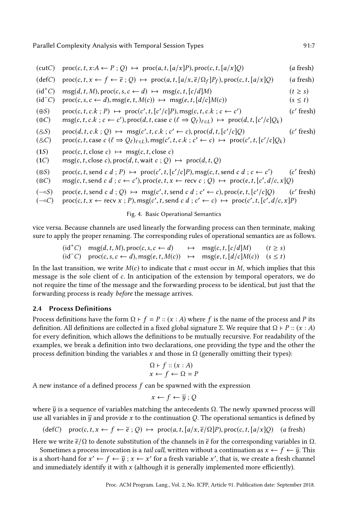<span id="page-6-0"></span>
$$
(cutC) proc(c, t, x:A \leftarrow P; Q) \mapsto proc(a, t, [a/x]P), proc(c, t, [a/x]Q)
$$
\n
$$
(a fresh)
$$
\n
$$
(defC) proc(c, t, x \leftarrow f \leftarrow \overline{e}; Q) \mapsto proc(a, t, [a/x, \overline{e}/Q_f]P_f), proc(c, t, [a/x]Q)
$$
\n
$$
(a fresh)
$$
\n
$$
(id+C) msg(d, t, M), proc(c, s, c \leftarrow d) \mapsto msg(c, t, [c/d]M)
$$
\n
$$
(t \ge s)
$$
\n
$$
(id-C) proc(c, s, c \leftarrow d), msg(e, t, M(c)) \mapsto msg(e, t, [d/c]M(c))
$$
\n
$$
(s \le t)
$$
\n
$$
(eS) proc(c, t, c.k; P) \mapsto proc(c', t, [c'/c]P), msg(c, t, c.k; c \leftarrow c')
$$
\n
$$
(c' fresh)
$$
\n
$$
(eC) msg(c, t, c.k; c \leftarrow c'), proc(d, t, case c (t \Rightarrow Q_{\ell})_{\ell \in L}) \mapsto proc(d, t, [c'/c]Q_k)
$$
\n
$$
(eS) proc(d, t, c.k; Q) \mapsto msg(c', t, c.k; c' \leftarrow c), proc(d, t, [c'/c]Q)
$$
\n
$$
(c' fresh)
$$
\n
$$
(8c) proc(c, t, case c (t \Rightarrow Q_{\ell})_{\ell \in L}), msg(c', t, c.k; c' \leftarrow c) \mapsto proc(c', t, [c'/c]Q_k)
$$
\n
$$
(1S) proc(c, t, close c) \mapsto msg(c, t, close c)
$$
\n
$$
(1C) msg(c, t, close c), proc(d, t, wait c; Q) \mapsto proc(d, t, Q)
$$

- (⊗S) proc(c, t, send c d ; P)  $\mapsto$  proc(c', t, [c'/c]P), msg(c, t, send c d ; c ← c'  $(c'$  fresh)
- (⊗C) msg(c, t, send c d ; c ← c'), proc(e, t, x ← recv c ; Q)  $\mapsto$  proc(e, t, [c', d/c, x]Q)
- $(\neg s)$  proc $(e, t, \text{send } c \ d \ ; Q) \mapsto \text{msg}(c', t, \text{send } c \ d \ ; c' \leftarrow c), \text{proc}(e, t, [c'/c]Q)$  (c ′ fresh)

 $(\neg c)$  proc $(c, t, x \leftarrow \text{recv } x ; P)$ , msg $(c', t, \text{send } c \ d \ ; c' \leftarrow c) \mapsto \text{proc}(c', t, [c', d/c, x]P)$ 

#### Fig. 4. Basic Operational Semantics

vice versa. Because channels are used linearly the forwarding process can then terminate, making sure to apply the proper renaming. The corresponding rules of operational semantics are as follows.

(id<sup>+</sup>C) 
$$
msg(d, t, M)
$$
, proc(c, s, c  $\leftarrow d$ )  $\mapsto$  msg(c, t, [c/d]M)  $(t \ge s)$   
(id<sup>-</sup>C) proc(c, s, c  $\leftarrow d$ ), msg(e, t, M(c))  $\mapsto$  msg(e, t, [d/c]M(c))  $(s \le t)$ 

In the last transition, we write  $M(c)$  to indicate that c must occur in M, which implies that this message is the sole client of c. In anticipation of the extension by temporal operators, we do not require the time of the message and the forwarding process to be identical, but just that the forwarding process is ready before the message arrives.

### 2.4 Process Definitions

Process definitions have the form  $\Omega$  ⊢  $f = P :: (x : A)$  where f is the name of the process and P its definition. All definitions are collected in a fixed global signature Σ. We require that  $\Omega$  ⊢ P ::  $(x : A)$ for every definition, which allows the definitions to be mutually recursive. For readability of the examples, we break a definition into two declarations, one providing the type and the other the process definition binding the variables x and those in Ω (generally omitting their types):

$$
\Omega \vdash f :: (x : A)
$$

$$
x \leftarrow f \leftarrow \Omega = P
$$

A new instance of a defined process  $f$  can be spawned with the expression

$$
x \leftarrow f \leftarrow \overline{y} \; ; \; Q
$$

where  $\bar{y}$  is a sequence of variables matching the antecedents  $\Omega$ . The newly spawned process will use all variables in  $\bar{y}$  and provide x to the continuation Q. The operational semantics is defined by

$$
(\text{def} C) \quad \text{proc}(c, t, x \leftarrow f \leftarrow \overline{e} \ ; Q) \ \mapsto \ \text{proc}(a, t, [a/x, \overline{e}/\Omega]P), \text{proc}(c, t, [a/x]Q) \quad (a \ \text{fresh})
$$

Here we write  $\bar{e}/\Omega$  to denote substitution of the channels in  $\bar{e}$  for the corresponding variables in  $\Omega$ .

Sometimes a process invocation is a *tail call*, written without a continuation as  $x \leftarrow f \leftarrow \overline{y}$ . This is a short-hand for  $x' \leftarrow f \leftarrow \overline{y}$  ;  $x \leftarrow x'$  for a fresh variable  $x'$ , that is, we create a fresh channel and immediately identify it with  $x$  (although it is generally implemented more efficiently).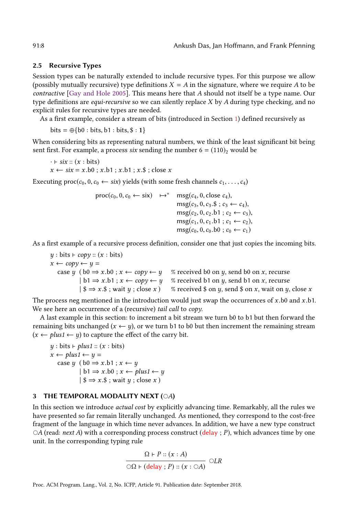### 2.5 Recursive Types

Session types can be naturally extended to include recursive types. For this purpose we allow (possibly mutually recursive) type definitions  $X = A$  in the signature, where we require A to be contractive [\[Gay and Hole 2005\]](#page-28-12). This means here that A should not itself be a type name. Our type definitions are *equi-recursive* so we can silently replace  $X$  by  $A$  during type checking, and no explicit rules for recursive types are needed.

As a first example, consider a stream of bits (introduced in Section [1\)](#page-0-0) defined recursively as

 $bits = \bigoplus \{b0 : bits, b1 : bits, \$ : 1\}$ 

When considering bits as representing natural numbers, we think of the least significant bit being sent first. For example, a process six sending the number  $6 = (110)<sub>2</sub>$  would be

```
\cdot \vdash \text{six} :: (x : \text{bits})x \leftarrow six = x.b0 ; x.b1 ; x.b1 ; x.$ ; close x
```
Executing  $\text{proc}(c_0, 0, c_0 \leftarrow \text{six})$  yields (with some fresh channels  $c_1, \ldots, c_4$ )

```
\text{proc}(c_0, 0, c_0 \leftarrow \text{six}) \rightarrow^* \text{msg}(c_4, 0, \text{close } c_4),\text{msg}(c_3, 0, c_3.5; c_3 \leftarrow c_4),\text{msg}(c_2, 0, c_2.b1 : c_2 \leftarrow c_3),\text{msg}(c_1, 0, c_1, b_1; c_1 \leftarrow c_2),\text{msg}(c_0, 0, c_0, b0 : c_0 \leftarrow c_1)
```
As a first example of a recursive process definition, consider one that just copies the incoming bits.

 $y : \text{bits} \vdash \text{copy} :: (x : \text{bits})$  $x \leftarrow copy \leftarrow y =$ case y (  $b0 \Rightarrow x.b0$  ;  $x \leftarrow copy \leftarrow y$  % received b0 on y, send b0 on x, recurse  $| b1 \Rightarrow x.b1 ; x \leftarrow copy \leftarrow y$  % received b1 on y, send b1 on x, recurse  $|\$\Rightarrow x.\$\;;$  wait  $y$ ; close  $x$  ) % received  $\$\text{ on } y$ , send  $\$\text{ on } x$ , wait on  $y$ , close  $x$ 

The process neg mentioned in the introduction would just swap the occurrences of  $x$ .b0 and  $x$ .b1. We see here an occurrence of a (recursive) tail call to copy.

A last example in this section: to increment a bit stream we turn b0 to b1 but then forward the remaining bits unchanged  $(x \leftarrow y)$ , or we turn b1 to b0 but then increment the remaining stream  $(x \leftarrow plus1 \leftarrow y)$  to capture the effect of the carry bit.

```
y : \text{bits} \vdash \text{plus1} :: (x : \text{bits})x \leftarrow plus1 \leftarrow y =case y ( b0 \Rightarrow x.b1 ; x \leftarrow y| b1 \Rightarrow x.b0 \; ; x \leftarrow \text{plus1} \leftarrow y| \$ \Rightarrow x.\$; wait y; close x)
```
# <span id="page-7-0"></span>3 THE TEMPORAL MODALITY NEXT (OA)

In this section we introduce actual cost by explicitly advancing time. Remarkably, all the rules we have presented so far remain literally unchanged. As mentioned, they correspond to the cost-free fragment of the language in which time never advances. In addition, we have a new type construct  $\circ$ A (read: next A) with a corresponding process construct (delay ; P), which advances time by one unit. In the corresponding typing rule

$$
\frac{\Omega \vdash P :: (x : A)}{\bigcirc \Omega \vdash (\text{delay }; P) :: (x : \bigcirc A)} \bigcirc LR
$$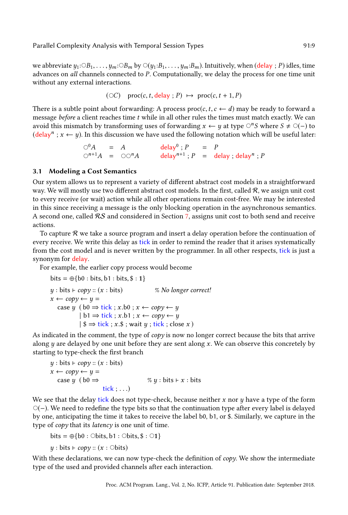we abbreviate  $y_1: \bigcirc B_1, \ldots, y_m: \bigcirc B_m$  by  $\bigcirc (y_1: B_1, \ldots, y_m: B_m)$ . Intuitively, when (delay ; P) idles, time advances on all channels connected to P. Computationally, we delay the process for one time unit without any external interactions.

$$
(\circ C)
$$
 proc(c, t, delay; P)  $\mapsto$  proc(c, t + 1, P)

There is a subtle point about forwarding: A process  $proc(c, t, c \leftarrow d)$  may be ready to forward a message *before* a client reaches time  $t$  while in all other rules the times must match exactly. We can avoid this mismatch by transforming uses of forwarding  $x \leftarrow y$  at type  $\bigcirc^n S$  where  $S \neq \bigcirc (-)$  to  $(delay<sup>n</sup>$ ;  $x \leftarrow y$ ). In this discussion we have used the following notation which will be useful later:

> $\bigcirc^0 A$  = A delay<sup>0</sup>; P = P  $\bigcirc^{n+1}A = \bigcirc \bigcirc^n A$  delay<sup>n+1</sup>; P = delay; delay<sup>n</sup>; P

### 3.1 Modeling a Cost Semantics

Our system allows us to represent a variety of different abstract cost models in a straightforward way. We will mostly use two different abstract cost models. In the first, called  $R$ , we assign unit cost to every receive (or wait) action while all other operations remain cost-free. We may be interested in this since receiving a message is the only blocking operation in the asynchronous semantics. A second one, called  $\mathcal{RS}$  and considered in Section [7,](#page-20-0) assigns unit cost to both send and receive actions.

To capture  $\mathcal R$  we take a source program and insert a delay operation before the continuation of every receive. We write this delay as tick in order to remind the reader that it arises systematically from the cost model and is never written by the programmer. In all other respects, tick is just a synonym for delay.

For example, the earlier copy process would become

bits = 
$$
\bigoplus
$$
 {b0 : bits, b1 : bits, \$ : 1}  
\ny : bits + copy :: (x : bits)   
\nx \leftarrow copy \leftarrow y =  
\ncase y (b0 \Rightarrow tick ; x.b0 ; x \leftarrow copy \leftarrow y  
\n| b1 \Rightarrow tick ; x.b1 ; x \leftarrow copy \leftarrow y  
\n| \$ \Rightarrow tick ; x . \$; wait y ; tick ; close x )

As indicated in the comment, the type of  $copy$  is now no longer correct because the bits that arrive along  $y$  are delayed by one unit before they are sent along  $x$ . We can observe this concretely by starting to type-check the first branch

$$
y: \text{bits} \vdash \text{copy} :: (x: \text{bits})
$$
\n
$$
x \leftarrow \text{copy} \leftarrow y =
$$
\n
$$
\text{case } y \text{ (bo} \Rightarrow \text{ } % y: \text{bits} \vdash x: \text{bits})
$$
\n
$$
\text{tick} : ...
$$

We see that the delay tick does not type-check, because neither x nor  $y$  have a type of the form ⃝(−). We need to redefine the type bits so that the continuation type after every label is delayed by one, anticipating the time it takes to receive the label b0, b1, or \$. Similarly, we capture in the type of copy that its latency is one unit of time.

bits =  $\oplus$ {b0 :  $\odot$ bits, b1 :  $\odot$ bits, \$ :  $\odot$ 1}

 $y : \text{bits} \vdash \text{copy} :: (x : \text{Obits})$ 

With these declarations, we can now type-check the definition of *copy*. We show the intermediate type of the used and provided channels after each interaction.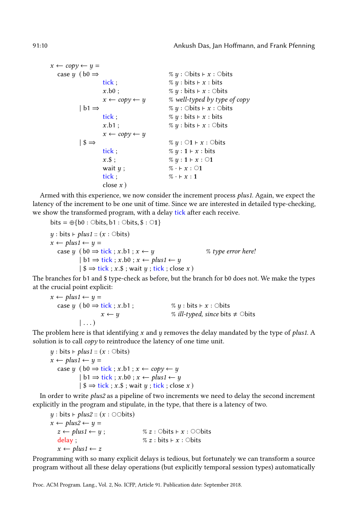$x \leftarrow copy \leftarrow y =$ case y ( $b0 \Rightarrow$  % y : ○bits ⊢ x : ○bits tick;  $\% y : \text{bits} \vdash x : \text{bits}$  $x.b0$ ;  $\% y : bits \vdash x : \odot bits$  $x \leftarrow copy \leftarrow y$  % well-typed by type of copy  $| b1 \Rightarrow$  % y : ○bits ⊢ x : ○bits tick;  $\% y : \text{bits} \vdash x : \text{bits}$  $x.b1$ ;  $\% y : bits \vdash x : \odot bits$  $x \leftarrow copy \leftarrow y$ | \$ ⇒ % y : ⃝1 ⊢ x : ⃝bits tick;  $\% y : 1 \vdash x : \text{bits}$  $x.\$ ;  $\% y : 1 \vdash x : \bigcirc 1$ wait  $y$ ;  $\% \cdot \vdash x : \bigcirc 1$ tick ;  $\% \cdot \vdash x : 1$ close  $x$ )

Armed with this experience, we now consider the increment process plus1. Again, we expect the latency of the increment to be one unit of time. Since we are interested in detailed type-checking, we show the transformed program, with a delay tick after each receive.

bits =  $\oplus$ {b0 :  $\odot$ bits, b1 :  $\odot$ bits, \$ :  $\odot$ 1}  $y : \text{bits} \vdash \text{plus1} :: (x : \text{Obits})$  $x \leftarrow plus1 \leftarrow y =$ case y ( $b0 \Rightarrow$  tick; x.b1;  $x \leftarrow y$  % type error here!  $| b1 \Rightarrow$  tick ; x.b0 ;  $x \leftarrow$  plus1  $\leftarrow$  y  $|\$ \$  $\Rightarrow$  tick; x.\$; wait  $y$ ; tick; close x)

The branches for b1 and \$ type-check as before, but the branch for b0 does not. We make the types at the crucial point explicit:

$$
x \leftarrow plus1 \leftarrow y =
$$
  
\n
$$
case \ y \ (bo \Rightarrow tick ; x.b1 ;
$$
  
\n
$$
x \leftarrow y
$$
  
\n% *ill-typed, since bits*  $\neq$  Obits  
\n
$$
...
$$

The problem here is that identifying  $x$  and  $y$  removes the delay mandated by the type of *plus1*. A solution is to call *copy* to reintroduce the latency of one time unit.

 $y : \text{bits} \vdash \text{plus1} :: (x : \text{Obits})$  $x \leftarrow plus1 \leftarrow y =$ case y (  $b0 \Rightarrow$  tick ; x.b1 ;  $x \leftarrow copy \leftarrow y$  $| b1 \Rightarrow$  tick;  $x.b0$ ;  $x \leftarrow$  plus1 $\leftarrow$  y  $|\$ \Rightarrow$  tick; x.\$; wait  $y$ ; tick; close x)

In order to write plus2 as a pipeline of two increments we need to delay the second increment explicitly in the program and stipulate, in the type, that there is a latency of two.

 $y : \text{bits} \vdash \text{plus2} :: (x : \text{Obits})$  $x \leftarrow plus2 \leftarrow y =$  $z \leftarrow plus1 \leftarrow y$ ; %  $z : \text{Obits} \vdash x : \text{Obits}$ delay ;  $\% z : \text{bits} \vdash x : \text{Obits}$  $x \leftarrow plus1 \leftarrow z$ 

Programming with so many explicit delays is tedious, but fortunately we can transform a source program without all these delay operations (but explicitly temporal session types) automatically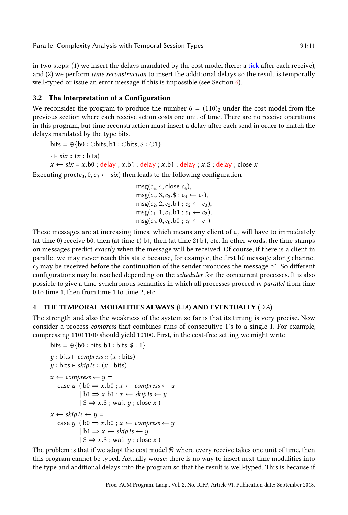in two steps: (1) we insert the delays mandated by the cost model (here: a tick after each receive), and (2) we perform time reconstruction to insert the additional delays so the result is temporally well-typed or issue an error message if this is impossible (see Section [6\)](#page-17-0).

# 3.2 The Interpretation of a Configuration

We reconsider the program to produce the number  $6 = (110)<sub>2</sub>$  under the cost model from the previous section where each receive action costs one unit of time. There are no receive operations in this program, but time reconstruction must insert a delay after each send in order to match the delays mandated by the type bits.

bits =  $\oplus$ {b0 :  $\ominus$ bits, b1 :  $\ominus$ bits, \$ :  $\odot$ 1}

 $\cdot \vdash$  six ::  $(x : \text{bits})$ 

 $x \leftarrow$  six = x.b0; delay; x.b1; delay; x.b1; delay; x.\$; delay; close x

Executing  $\text{proc}(c_0, 0, c_0 \leftarrow six)$  then leads to the following configuration

 $msg(c_4, 4, close c_4),$  $\text{msg}(c_3, 3, c_3.\$; c_3 \leftarrow c_4),$  $msg(c_2, 2, c_2.b1 ; c_2 \leftarrow c_3),$  $msg(c_1, 1, c_1.b1; c_1 \leftarrow c_2),$  $\text{msg}(c_0, 0, c_0, b0 : c_0 \leftarrow c_1)$ 

These messages are at increasing times, which means any client of  $c_0$  will have to immediately (at time 0) receive b0, then (at time 1) b1, then (at time 2) b1, etc. In other words, the time stamps on messages predict exactly when the message will be received. Of course, if there is a client in parallel we may never reach this state because, for example, the first b0 message along channel  $c_0$  may be received before the continuation of the sender produces the message b1. So different configurations may be reached depending on the scheduler for the concurrent processes. It is also possible to give a time-synchronous semantics in which all processes proceed in parallel from time 0 to time 1, then from time 1 to time 2, etc.

# <span id="page-10-0"></span>4 THE TEMPORAL MODALITIES ALWAYS ( $\Box A$ ) AND EVENTUALLY ( $\diamond A$ )

The strength and also the weakness of the system so far is that its timing is very precise. Now consider a process compress that combines runs of consecutive 1's to a single 1. For example, compressing 11011100 should yield 10100. First, in the cost-free setting we might write

```
bits = \bigoplus \{b0 : bits, b1 : bits, \$ : 1\}
```

```
y : \text{bits} \vdash \text{compress} :: (x : \text{bits})y : \text{bits} \vdash \text{skip} 1s :: (x : \text{bits})x \leftarrow \text{compress} \leftarrow y =case y \thinspace ( b0 \Rightarrow x.b0 ; x \leftarrow compress \leftarrow y
                   | b1 \Rightarrow x.b1 ; x \leftarrow skip1s \leftarrow y| \$ \Rightarrow x.\$; wait y; close x)
x \leftarrow skip1s \leftarrow y =
    case y \thinspace ( \thinspace b0 \Rightarrow x.b0 \thinspace; x \leftarrow \thinspace \textit{compress} \leftarrow y| b1 \Rightarrow x \leftarrow skip1s \leftarrow y| \$ \Rightarrow x.\$; wait y; close x)
```
The problem is that if we adopt the cost model  $R$  where every receive takes one unit of time, then this program cannot be typed. Actually worse: there is no way to insert next-time modalities into the type and additional delays into the program so that the result is well-typed. This is because if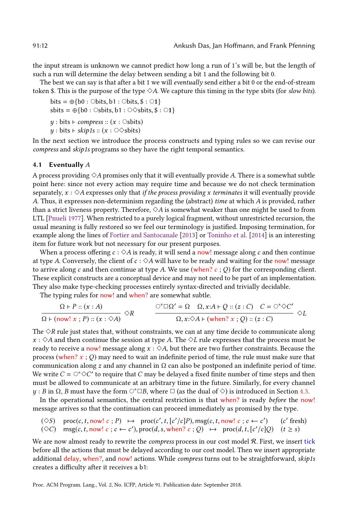the input stream is unknown we cannot predict how long a run of 1's will be, but the length of such a run will determine the delay between sending a bit 1 and the following bit 0.

The best we can say is that after a bit  $1$  we will *eventually* send either a bit  $0$  or the end-of-stream token \$. This is the purpose of the type  $\diamond A$ . We capture this timing in the type sbits (for slow bits).

```
bits = \oplus \{b0 : \bigcirc \text{bits}, b1 : \bigcirc \text{bits}, \$ : \bigcirc 1\}sbits = \oplus \{b0 : \circ \text{Sbits}, b1 : \circ \circ \text{Sbits}, \$ : \circ 1\}y : \text{bits} \vdash \text{compress} :: (x : \text{Osbits})y : \text{bits} \vdash \text{skip1s} :: (x : \bigcirc \Diamond \text{slits})
```
In the next section we introduce the process constructs and typing rules so we can revise our compress and skip1s programs so they have the right temporal semantics.

#### <span id="page-11-0"></span>4.1 Eventually  $A$

A process providing  $\Diamond A$  promises only that it will eventually provide A. There is a somewhat subtle point here: since not every action may require time and because we do not check termination separately,  $x : \Diamond A$  expresses only that *if the process providing x terminates* it will eventually provide A. Thus, it expresses non-determinism regarding the (abstract) time at which A is provided, rather than a strict liveness property. Therefore,  $\Diamond A$  is somewhat weaker than one might be used to from LTL [\[Pnueli 1977\]](#page-29-7). When restricted to a purely logical fragment, without unrestricted recursion, the usual meaning is fully restored so we feel our terminology is justified. Imposing termination, for example along the lines of [Fortier and Santocanale](#page-28-13) [\[2013\]](#page-28-13) or [Toninho et al.](#page-29-8) [\[2014\]](#page-29-8) is an interesting item for future work but not necessary for our present purposes.

When a process offering  $c : \Diamond A$  is ready, it will send a now! message along c and then continue at type A. Conversely, the client of  $c : \Diamond A$  will have to be ready and waiting for the now! message to arrive along c and then continue at type A. We use (when?  $c$ ; Q) for the corresponding client. These explicit constructs are a conceptual device and may not need to be part of an implementation. They also make type-checking processes entirely syntax-directed and trivially decidable.

The typing rules for now! and when? are somewhat subtle.

$$
\frac{\Omega \vdash P :: (x:A)}{\Omega \vdash (\text{now}! \ x \ ; \ P) :: (x:\diamond A)} \diamond R \qquad \frac{\circ^* \Box \Omega' = \Omega \quad \Omega, x:A \vdash Q :: (z:C) \quad C = \bigcirc^* \diamond C'}{\Omega, x:\diamond A \vdash (\text{when}? \ x \ ; \ Q) :: (z:C)} \diamond L
$$

The  $\Diamond R$  rule just states that, without constraints, we can at any time decide to communicate along  $x : \Diamond A$  and then continue the session at type A. The  $\Diamond L$  rule expresses that the process must be ready to receive a now! message along  $x : \Diamond A$ , but there are two further constraints. Because the process (when?  $x$ ; Q) may need to wait an indefinite period of time, the rule must make sure that communication along z and any channel in  $\Omega$  can also be postponed an indefinite period of time. We write  $C = \bigcirc^* \Diamond C'$  to require that C may be delayed a fixed finite number of time steps and then must be allowed to communicate at an arbitrary time in the future. Similarly, for every channel y : B in  $\Omega$ , B must have the form  $\circ$ <sup>∗ $\Box$ </sup>B, where  $\Box$  (as the dual of  $\diamond$ ) is introduced in Section [4.3.](#page-13-0)

In the operational semantics, the central restriction is that when? is ready before the now! message arrives so that the continuation can proceed immediately as promised by the type.

$$
(\diamondsuit S)
$$
 proc(c, t, now! c; P)  $\mapsto$  proc(c', t, [c'/c]P), msg(c, t, now! c; c \leftarrow c') (c' fresh)  
 $(\diamondsuit C)$  msg(c, t, now! c; c \leftarrow c'), proc(d, s, when? c; Q)  $\mapsto$  proc(d, t, [c'/c]Q) (t \ge s)

We are now almost ready to rewrite the *compress* process in our cost model  $R$ . First, we insert tick before all the actions that must be delayed according to our cost model. Then we insert appropriate additional delay, when?, and now! actions. While *compress* turns out to be straightforward, skip1s creates a difficulty after it receives a b1: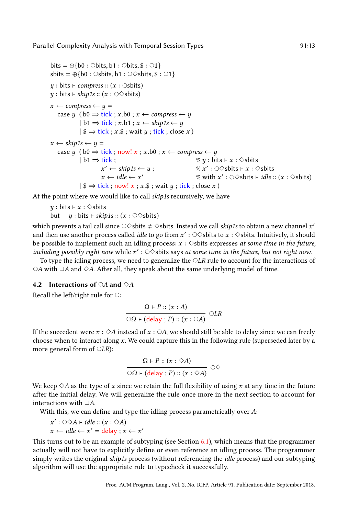```
bits = \oplus{b0 : \ominusbits, b1 : \ominusbits, $ : \odot1}
sbits = \oplus{b0 : ○sbits, b1 : ○ \otimessbits, $ : ○1}
y : \text{bits} \vdash \text{compress} :: (x : \text{Osbits})y : \text{bits} \vdash \text{skip1s} :: (x : \bigcirc \Diamond \text{slits})x \leftarrow \text{compress} \leftarrow y =case y \thinspace (b0 \Rightarrow \text{tick} ; x.b0 ; x \leftarrow \text{compress} \leftarrow y| b1 \Rightarrow tick; x.b1; x \leftarrow skip1s \leftarrow y
              |\ \Rightarrow tick ; x.$ ; wait y ; tick ; close x )
x \leftarrow skip1s \leftarrow y =
   case y ( b0 \Rightarrow tick; now! x; x.b0; x \leftarrow compress \leftarrow y
              | b1 \Rightarrow tick; % y : bits \vdash x : \diamondsbits
                          x' \leftarrow skip1s \leftarrow y; % x
                                                                                \prime : ○ \diamondsbits ⊢ x : \diamondsbits
                         x \leftarrow idle \leftarrow x'\% with x' : ○◇sbits \vdash idle :: (x : \diamondsbits)
              | \ \Rightarrow tick; now! x; x. ; wait y; tick; close x)
```
At the point where we would like to call skip1s recursively, we have

```
y : \text{bits} \vdash x : \diamond \text{shifts}but y : \text{bits} \vdash \text{skip1s} :: (x : \odot \Diamond \text{slits})
```
which prevents a tail call since  $\circ \diamond$ sbits  $\neq \diamond$ sbits. Instead we call *skip1s* to obtain a new channel  $x'$ and then use another process called *idle* to go from  $x':\circ \diamond$ sbits to  $x:\diamond$ sbits. Intuitively, it should be possible to implement such an idling process:  $x : \Diamond$ sbits expresses *at some time in the future*, including possibly right now while  $x'$  :  $\circ \diamond$ sbits says at some time in the future, but not right now.

To type the idling process, we need to generalize the  $\bigcirc LR$  rule to account for the interactions of  $\circ$ A with  $\Box$ A and  $\diamond$ A. After all, they speak about the same underlying model of time.

# 4.2 Interactions of  $\bigcirc A$  and  $\Diamond A$

Recall the left/right rule for  $\bigcirc$ :

$$
\frac{\Omega \vdash P :: (x : A)}{\bigcirc \Omega \vdash (\text{delay} : P) :: (x : \bigcirc A)} \bigcirc LR
$$

If the succedent were  $x : \Diamond A$  instead of  $x : \Diamond A$ , we should still be able to delay since we can freely choose when to interact along  $x$ . We could capture this in the following rule (superseded later by a more general form of  $\bigcirc LR$ :

$$
\frac{\Omega \vdash P :: (x : \Diamond A)}{\bigcirc \Omega \vdash (\text{delay }; P) :: (x : \Diamond A)} \bigcirc \Diamond
$$

We keep  $\Diamond A$  as the type of x since we retain the full flexibility of using x at any time in the future after the initial delay. We will generalize the rule once more in the next section to account for interactions with  $\Box A$ .

With this, we can define and type the idling process parametrically over A:

$$
x': \bigcirc \Diamond A \vdash idle :: (x : \Diamond A)
$$
  

$$
x \leftarrow idle \leftarrow x' = delay : x \leftarrow x'
$$

This turns out to be an example of subtyping (see Section [6.1\)](#page-19-0), which means that the programmer actually will not have to explicitly define or even reference an idling process. The programmer simply writes the original skip1s process (without referencing the *idle* process) and our subtyping algorithm will use the appropriate rule to typecheck it successfully.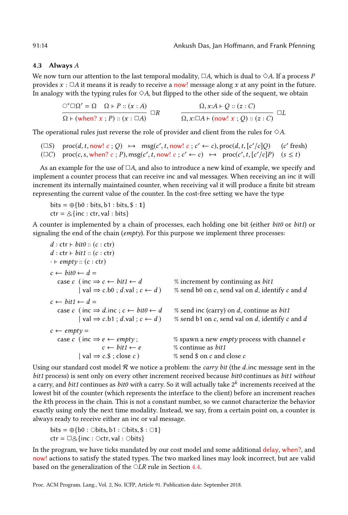#### <span id="page-13-0"></span>4.3 Always A

We now turn our attention to the last temporal modality,  $\Box A$ , which is dual to  $\diamondsuit A$ . If a process P provides  $x : \Box A$  it means it is ready to receive a now! message along x at any point in the future. In analogy with the typing rules for  $\diamond A$ , but flipped to the other side of the sequent, we obtain

$$
\frac{\bigcirc^* \square \Omega' = \Omega \quad \Omega \vdash P :: (x : A)}{\Omega \vdash (\text{when? } x ; P) :: (x : \square A)} \square R \qquad \qquad \frac{\Omega, x : A \vdash Q :: (z : C)}{\Omega, x : \square A \vdash (\text{now! } x ; Q) :: (z : C)} \square L
$$

The operational rules just reverse the role of provider and client from the rules for  $\diamond A$ .

 $(\Box S) \quad \text{proc}(d, t, \text{now! } c ; Q) \rightarrow \text{msg}(c', t, \text{now! } c ; c' \leftarrow c), \text{proc}(d, t, [c'/c]Q)$  (c ′ fresh)  $(\Box C)$  proc(c, s, when? c; P), msg(c', t, now! c; c'  $\leftarrow$  c)  $\mapsto$  proc(c', t, [c'/c]P) (s  $\leq$  t)

As an example for the use of  $\Box A$ , and also to introduce a new kind of example, we specify and implement a counter process that can receive inc and val messages. When receiving an inc it will increment its internally maintained counter, when receiving val it will produce a finite bit stream representing the current value of the counter. In the cost-free setting we have the type

 $bits = \bigoplus \{b0 : bits, b1 : bits, $ : 1\}$  $ctr = \&$ {inc : ctr, val : bits}

A counter is implemented by a chain of processes, each holding one bit (either bit0 or bit1) or signaling the end of the chain ( $\epsilon$ *mpty*). For this purpose we implement three processes:

```
d: \text{ctr} \vdash \textit{bit0} :: (c: \text{ctr})d: \text{ctr} \vdash \text{bit1} :: (c: \text{ctr})\cdot \vdash empty :: (c : \text{ctr})c \leftarrow \text{bit0} \leftarrow d =case c (inc \Rightarrow c \leftarrow bit1 \leftarrow d % increment by continuing as bit1
             | val \Rightarrow c.b0 ; d.val ; c \leftarrow d ) % send b0 on c, send val on d, identify c and d
c \leftarrow \text{bit1} \leftarrow d =case c (inc \Rightarrow d.inc; c \leftarrow \text{bit0} \leftarrow d % send inc (carry) on d, continue as bit1
             | val \Rightarrow c.b1 ; d.val ; c \leftarrow d ) % send b1 on c, send val on d, identify c and d
c \leftarrow \text{empty} =case c (inc \Rightarrow e \leftarrow empty; % spawn a new empty process with channel e
                       c \leftarrow \text{bit1} \leftarrow e % continue as bit1
             | val \Rightarrow c.$; close c) % send $ on c and close c
```
Using our standard cost model  $R$  we notice a problem: the *carry bit* (the  $d$  inc message sent in the bit1 process) is sent only on every other increment received because bit0 continues as bit1 without a carry, and  $bit1$  continues as  $bit0$  with a carry. So it will actually take  $2^k$  increments received at the lowest bit of the counter (which represents the interface to the client) before an increment reaches the kth process in the chain. This is not a constant number, so we cannot characterize the behavior exactly using only the next time modality. Instead, we say, from a certain point on, a counter is always ready to receive either an inc or val message.

bits =  $\oplus \{b0 : \bigcirc \text{bits}, b1 : \bigcirc \text{bits}, \$ : \bigcirc 1\}$  $ctr = \Box \otimes \{inc : \bigcirc ctr, val : \bigcirc bits\}$ 

In the program, we have ticks mandated by our cost model and some additional delay, when?, and now! actions to satisfy the stated types. The two marked lines may look incorrect, but are valid based on the generalization of the  $\bigcirc$ LR rule in Section [4.4.](#page-14-0)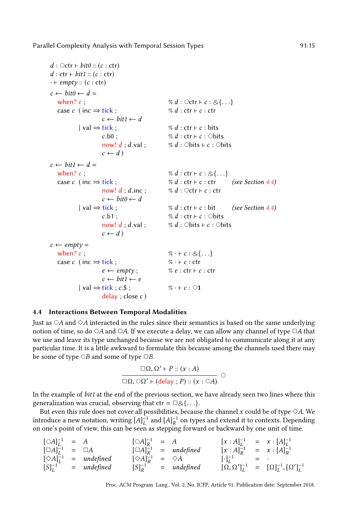```
d : \bigcirc \text{ctr} \vdash \text{bit0} :: (c : \text{ctr})d: \text{ctr} \vdash \text{bit1} :: (c: \text{ctr})\cdot \vdash empty :: (c : \text{ctr})c \leftarrow \text{bit0} \leftarrow d =when? c; \% d : \text{Octr} \vdash c : \& \{ \dots \}case c (inc \Rightarrow tick; % d : ctr ⊦ c : ctr
                      c \leftarrow \text{bit1} \leftarrow d| \text{val} \Rightarrow \text{tick} ; % d : ctr \vdash c : \text{bits}c.b0; % d: \text{ctr} \vdash c: \text{Obits}now! d; d.val; % d: ○bits ⊢ c: ○bits
                      c \leftarrow dc \leftarrow \text{bit1} \leftarrow d =when? c; \% d : \text{ctr } \vdash c : \& \{ \dots \}case c ( inc \Rightarrow tick ; \% d : \text{ctr} \div c : \text{ctr}4.4)
                      now! d : d.inc ; % d : \Diamondctr ⊦ c : ctr
                      c \leftarrow \text{bit0} \leftarrow d| val \Rightarrow tick ; \% d : \text{ctr} \vdash c : \text{bit}4.4)
                      c.b1; \% d: \text{ctr} \vdash c: \text{Obits}now! d; d.val; % d: ○bits ⊢ c: ○bits
                      c \leftarrow d)
c \leftarrow empty =when? c; \% \cdot \vdash c : \& \{ \dots \}case c (inc \Rightarrow tick; \% \cdot \div c : \text{ctr}e \leftarrow \textit{empty}; % e : \textit{ctr} \vdash c : \textit{ctr}c \leftarrow \text{bit1} \leftarrow e| \text{val} \Rightarrow \text{tick} : c.\$; % · \vdash c : \bigcirc 1delay : close c)
```
# <span id="page-14-0"></span>4.4 Interactions Between Temporal Modalities

Just as  $\circ$ A and  $\diamond$ A interacted in the rules since their semantics is based on the same underlying notion of time, so do  $\circ A$  and  $\Box A$ . If we execute a delay, we can allow any channel of type  $\Box A$  that we use and leave its type unchanged because we are not obligated to communicate along it at any particular time. It is a little awkward to formulate this because among the channels used there may be some of type  $\bigcirc B$  and some of type  $\Box B$ .

$$
\frac{\Box \Omega, \Omega' \vdash P :: (x : A)}{\Box \Omega, \bigcirc \Omega' \vdash (\text{delay }; P) :: (x : \bigcirc A)} \bigcirc
$$

In the example of bit1 at the end of the previous section, we have already seen two lines where this generalization was crucial, observing that  $ctr = \Box \& \{ \ldots \}.$ 

But even this rule does not cover all possibilities, because the channel x could be of type  $\diamond A$ . We introduce a new notation, writing  $[A]_L^{-1}$  and  $[A]_R^{-1}$  on types and extend it to contexts. Depending on one's point of view, this can be seen as stepping forward or backward by one unit of time.

| $[OA]_I^{-1} = A$          |                                   |  | $[OA]_R^{-1} = A$                          | $[x : A]_1^{-1} = x : [A]_1^{-1}$ |                                                                |
|----------------------------|-----------------------------------|--|--------------------------------------------|-----------------------------------|----------------------------------------------------------------|
| $[\Box A]_I^{-1} = \Box A$ |                                   |  | $[\Box A]_R^{-1}$ = undefined              | $[x : A]_R^{-1} = x : [A]_R^{-1}$ |                                                                |
|                            | $[\diamond A]_I^{-1}$ = undefined |  | $[\diamondsuit A]_R^{-1} = \diamondsuit A$ | $[\cdot]_t^{-1} = \cdot$          |                                                                |
|                            | $[S]_L^{-1}$ = undefined          |  | $[S]_R^{-1}$ = undefined                   |                                   | $[\Omega, \Omega']_l^{-1} = [\Omega]_l^{-1}, [\Omega']_l^{-1}$ |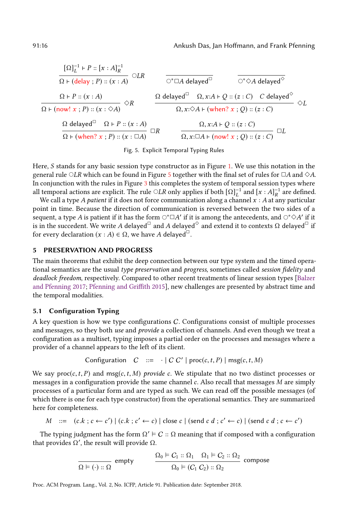<span id="page-15-1"></span>
$$
\frac{[\Omega]_{L}^{-1} \vdash P :: [x : A]_{R}^{-1}}{\Omega \vdash (\text{delay}; P) :: (x : A)} \bigcirc LR \qquad \frac{}{\bigcirc^* \square A \text{ delayed}^{\square}} \qquad \frac{}{\bigcirc^* \lozenge A \text{ delayed}^{\diamond}} \\ \frac{\Omega \vdash P :: (x : A)}{\Omega \vdash (\text{now! } x : P) :: (x : \diamond A)} \bigcirc R \qquad \frac{\Omega \text{ delayed}^{\square} \quad \Omega, x : A \vdash Q :: (z : C) \quad C \text{ delayed}^{\diamond}}{\Omega, x : \diamond A \vdash (\text{when? } x : Q) :: (z : C)} \bigcirc L \\ \frac{\Omega \text{ delayed}^{\square} \quad \Omega \vdash P :: (x : A)}{\Omega \vdash (\text{when? } x : P) :: (x : \square A)} \square R \qquad \frac{\Omega, x : A \vdash Q :: (z : C)}{\Omega, x : \square A \vdash (\text{now! } x : Q) :: (z : C)} \square L
$$

Fig. 5. Explicit Temporal Typing Rules

Here, S stands for any basic session type constructor as in Figure [1.](#page-3-1) We use this notation in the general rule  $\bigcirc LR$  which can be found in Figure [5](#page-15-1) together with the final set of rules for  $\Box A$  and  $\diamond A$ . In conjunction with the rules in Figure [3](#page-5-0) this completes the system of temporal session types where all temporal actions are explicit. The rule  $\bigcirc LR$  only applies if both  $[\Omega]_L^{-1}$  and  $[x:A]_R^{-1}$  are defined.

We call a type A patient if it does not force communication along a channel  $x : A$  at any particular point in time. Because the direction of communication is reversed between the two sides of a sequent, a type  $A$  is patient if it has the form  $\circ^* \Box A'$  if it is among the antecedents, and  $\circ^* \Diamond A'$  if it is in the succedent. We write A delayed $^{\square}$  and A delayed $^{\lozenge}$  and extend it to contexts  $\Omega$  delayed $^{\square}$  if for every declaration  $(x : A) \in \Omega$ , we have A delayed<sup> $\Box$ </sup>.

#### <span id="page-15-0"></span>5 PRESERVATION AND PROGRESS

The main theorems that exhibit the deep connection between our type system and the timed operational semantics are the usual type preservation and progress, sometimes called session fidelity and deadlock freedom, respectively. Compared to other recent treatments of linear session types [\[Balzer](#page-28-11) [and Pfenning 2017;](#page-28-11) [Pfenning and Griffith 2015\]](#page-29-5), new challenges are presented by abstract time and the temporal modalities.

## 5.1 Configuration Typing

A key question is how we type configurations C. Configurations consist of multiple processes and messages, so they both use and provide a collection of channels. And even though we treat a configuration as a multiset, typing imposes a partial order on the processes and messages where a provider of a channel appears to the left of its client.

$$
Configuration \quad C \ ::= \ \cdot \mid C \ C' \mid proc(c, t, P) \mid msg(c, t, M)
$$

We say proc(c, t, P) and msg(c, t, M) provide c. We stipulate that no two distinct processes or messages in a configuration provide the same channel  $c$ . Also recall that messages  $M$  are simply processes of a particular form and are typed as such. We can read off the possible messages (of which there is one for each type constructor) from the operational semantics. They are summarized here for completeness.

$$
M \ ::= \ (c.k \; ; \; c \leftarrow c') \mid (c.k \; ; \; c' \leftarrow c) \mid \text{close } c \mid (\text{send } c \; d \; ; \; c' \leftarrow c) \mid (\text{send } c \; d \; ; \; c \leftarrow c')
$$

The typing judgment has the form  $\Omega' \models C :: \Omega$  meaning that if composed with a configuration that provides  $\Omega'$ , the result will provide  $\Omega$ .

$$
\frac{\Omega_0 \vDash C_1 :: \Omega_1 \quad \Omega_1 \vDash C_2 :: \Omega_2}{\Omega_0 \vDash (C_1 C_2) :: \Omega_2}
$$
 compose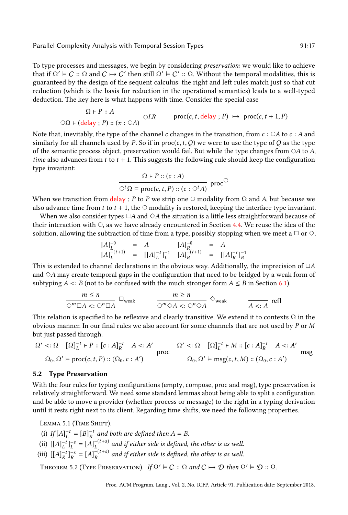To type processes and messages, we begin by considering preservation: we would like to achieve that if  $\Omega' \models C :: \Omega$  and  $C \mapsto C'$  then still  $\Omega' \models C' :: \Omega$ . Without the temporal modalities, this is guaranteed by the design of the sequent calculus: the right and left rules match just so that cut reduction (which is the basis for reduction in the operational semantics) leads to a well-typed deduction. The key here is what happens with time. Consider the special case

$$
\frac{\Omega \vdash P :: A}{\bigcirc \Omega \vdash (\text{delay }; P) :: (x : \bigcirc A)} \bigcirc LR \qquad \text{proc}(c, t, \text{delay }; P) \mapsto \text{proc}(c, t + 1, P)
$$

Note that, inevitably, the type of the channel c changes in the transition, from  $c : \bigcirc A$  to  $c : A$  and similarly for all channels used by P. So if in  $proc(c, t, Q)$  we were to use the type of Q as the type of the semantic process object, preservation would fail. But while the type changes from  $\circ A$  to  $A$ , time also advances from t to  $t + 1$ . This suggests the following rule should keep the configuration type invariant:

$$
\Omega \vdash P :: (c : A)
$$
  

$$
\bigcirc^{t} \Omega \models \text{proc}(c, t, P) :: (c : \bigcirc^{t} A)
$$
proc<sup>^\circ</sup>

When we transition from  $\frac{\text{delay}}{\text{else}}$  : P to P we strip one  $\circ$  modality from  $\Omega$  and A, but because we also advance time from t to  $t + 1$ , the  $\circ$  modality is restored, keeping the interface type invariant.

When we also consider types  $\Box A$  and  $\diamond A$  the situation is a little less straightforward because of their interaction with  $\circ$ , as we have already encountered in Section [4.4.](#page-14-0) We reuse the idea of the solution, allowing the subtraction of time from a type, possibly stopping when we meet a  $\Box$  or  $\diamond$ .

$$
\begin{array}{ccccl} [A]^{-0}_{L} & = & A & [A]^{-0}_{R} & = & A \\ [A]^{- (t+1)}_{L} & = & [[A]^{- t}_{L}]^{-1}_{L} & [A]^{- (t+1)}_{R} & = & [[A]^{- t}_{R}]^{-1}_{R} \end{array}
$$

This is extended to channel declarations in the obvious way. Additionally, the imprecision of  $\Box A$ and  $\Diamond A$  may create temporal gaps in the configuration that need to be bridged by a weak form of subtyping A  $\lt:$ : B (not to be confused with the much stronger form  $A \leq B$  in Section [6.1\)](#page-19-0),

$$
\frac{m \le n}{\bigcirc^m \Box A \le \cdot \bigcirc^n \Box A} \Box_{\text{weak}} \qquad \qquad \frac{m \ge n}{\bigcirc^m \Diamond A \le \cdot \bigcirc^n \Diamond A} \ \Diamond_{\text{weak}} \qquad \qquad \frac{}{A \le A} \text{ refl}
$$

This relation is specified to be reflexive and clearly transitive. We extend it to contexts  $\Omega$  in the obvious manner. In our final rules we also account for some channels that are not used by P or M but just passed through.

$$
\frac{\Omega' <: \Omega \quad [\Omega]_L^{-t} \vdash P :: [c : A]_R^{-t} \quad A <: A'}{\Omega_0, \Omega' \vDash \text{proc}(c, t, P) :: (\Omega_0, c : A')} \quad \text{proc} \quad \frac{\Omega' <: \Omega \quad [\Omega]_L^{-t} \vdash M :: [c : A]_R^{-t} \quad A <: A'}{\Omega_0, \Omega' \vDash \text{msg}(c, t, M) :: (\Omega_0, c : A')} \quad \text{msg}
$$

#### 5.2 Type Preservation

With the four rules for typing configurations (empty, compose, proc and msg), type preservation is relatively straightforward. We need some standard lemmas about being able to split a configuration and be able to move a provider (whether process or message) to the right in a typing derivation until it rests right next to its client. Regarding time shifts, we need the following properties.

LEMMA 5.1 (TIME SHIFT).

- (i) If  $[A]_L^{-t} = [B]_R^{-t}$  and both are defined then  $A = B$ .
- (ii)  $[[A]_L^{-t}]_L^{-s} = [A]_L^{-(t+s)}$  $\mathcal{L}^{(-i+ s)}$  and if either side is defined, the other is as well.
- (iii)  $[[A]_R^{-t}]_R^{-s} = [A]_R^{-(t+s)}$  $R_R^{-(1+8)}$  and if either side is defined, the other is as well.

THEOREM 5.2 (TYPE PRESERVATION). If  $\Omega' \models C :: \Omega$  and  $C \mapsto D$  then  $\Omega' \models D :: \Omega$ .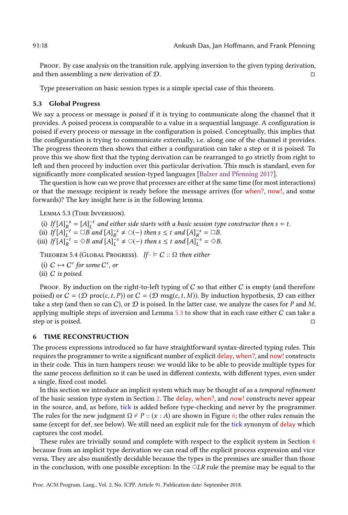Proof. By case analysis on the transition rule, applying inversion to the given typing derivation, and then assembling a new derivation of  $\mathcal{D}$ . □

Type preservation on basic session types is a simple special case of this theorem.

#### 5.3 Global Progress

We say a process or message is *poised* if it is trying to communicate along the channel that it provides. A poised process is comparable to a value in a sequential language. A configuration is poised if every process or message in the configuration is poised. Conceptually, this implies that the configuration is trying to communicate externally, i.e. along one of the channel it provides. The progress theorem then shows that either a configuration can take a step or it is poised. To prove this we show first that the typing derivation can be rearranged to go strictly from right to left and then proceed by induction over this particular derivation. This much is standard, even for significantly more complicated session-typed languages [\[Balzer and Pfenning 2017\]](#page-28-11).

The question is how can we prove that processes are either at the same time (for most interactions) or that the message recipient is ready before the message arrives (for when?, now!, and some forwards)? The key insight here is in the following lemma.

<span id="page-17-1"></span>Lemma 5.3 (Time Inversion).

- (i) If  $[A]_R^{-s} = [A]_L^{-t}$  and either side starts with a basic session type constructor then  $s = t$ .
- (ii)  $If [A]_L^{-t} = \Box B \text{ and } [A]_R^{-s} \neq \bigcirc (- \big) \text{ then } s \leq t \text{ and } [A]_R^{-s} = \Box B.$
- (iii) If  $[A]_R^{-t} = \Diamond B$  and  $[A]_L^{-s} \neq \bigcirc(-)$  then  $s \leq t$  and  $[A]_L^{-s} = \Diamond B$ .

THEOREM 5.4 (GLOBAL PROGRESS). If  $\cdot \vDash C :: \Omega$  then either

- (i)  $C \mapsto C'$  for some  $C'$ , or
- (ii) C is poised.

Proof. By induction on the right-to-left typing of  $C$  so that either  $C$  is empty (and therefore poised) or  $C = (\mathcal{D} \text{ proc}(c, t, P))$  or  $C = (\mathcal{D} \text{ msg}(c, t, M))$ . By induction hypothesis,  $\mathcal{D}$  can either take a step (and then so can C), or  $D$  is poised. In the latter case, we analyze the cases for P and M, applying multiple steps of inversion and Lemma  $5.3$  to show that in each case either  $C$  can take a step or is poised. □

#### <span id="page-17-0"></span>6 TIME RECONSTRUCTION

The process expressions introduced so far have straightforward syntax-directed typing rules. This requires the programmer to write a significant number of explicit delay, when?, and now! constructs in their code. This in turn hampers reuse: we would like to be able to provide multiple types for the same process definition so it can be used in different contexts, with different types, even under a single, fixed cost model.

In this section we introduce an implicit system which may be thought of as a temporal refinement of the basic session type system in Section [2.](#page-3-0) The delay, when?, and now! constructs never appear in the source, and, as before, tick is added before type-checking and never by the programmer. The rules for the new judgment  $\Omega \nvdash P :: (x : A)$  are shown in Figure [6;](#page-18-0) the other rules remain the same (except for def, see below). We still need an explicit rule for the tick synonym of delay which captures the cost model.

These rules are trivially sound and complete with respect to the explicit system in Section [4](#page-10-0) because from an implicit type derivation we can read off the explicit process expression and vice versa. They are also manifestly decidable because the types in the premises are smaller than those in the conclusion, with one possible exception: In the  $\bigcirc LR$  rule the premise may be equal to the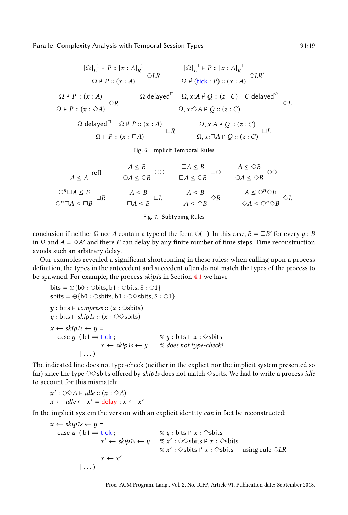<span id="page-18-0"></span>
$$
\frac{[\Omega]_{L}^{-1} \nvdash P :: [x : A]_{R}^{-1}}{\Omega \nvdash P :: (x : A)} \nightharpoonup LR \nightharpoonup \frac{[\Omega]_{L}^{-1} \nvdash P :: [x : A]_{R}^{-1}}{\Omega \nvdash (tick ; P) :: (x : A)} \nightharpoonup LR' \nightharpoonup \frac{[\Omega]_{L}^{-1} \nvdash P :: [x : A]_{R}^{-1}}{\Omega \nvdash P :: (x : \Diamond A)} \nightharpoonup R \nightharpoonup \frac{[\Omega]_{L}^{-1} \nvdash P :: [x : A]_{R}^{-1}}{\Omega \nvdash P :: (x : \Box A)} \nightharpoonup \frac{[\Omega]_{L}^{-1} \nvdash P :: [x : A]}{\Omega \nightharpoonup \frac{[\Omega]_{L}^{-1} \nvdash P :: [x : A]}{\Omega \nightharpoonup \frac{[\Omega]_{L}^{-1} \notash P :: [x : A]}{\Omega \nightharpoonup \frac{[\Omega]_{L}^{-1} \nightharpoonup \frac{[\Omega]_{L}^{-1} \nightharpoonup \frac{[\Omega]_{L}^{-1} \nightharpoonup \frac{[\Omega]_{L}^{-1} \nightharpoonup \frac{[\Omega]_{L}^{-1} \nightharpoonup \frac{[\Omega]_{L}^{-1} \nightharpoonup \frac{[\Omega]_{L}^{-1} \nightharpoonup \frac{[\Omega]_{L}^{-1} \nightharpoonup \frac{[\Omega]_{L}^{-1} \nightharpoonup \frac{[\Omega]_{L}^{-1} \nightharpoonup \frac{[\Omega]_{L}^{-1} \nightharpoonup \frac{[\Omega]_{L}^{-1} \nightharpoonup \frac{[\Omega]_{L}^{-1} \nightharpoonup \frac{[\Omega]_{L}^{-1} \nightharpoonup \frac{[\Omega]_{L}^{-1} \nightharpoonup \frac{[\Omega]_{L}^{-1} \nightharpoonup \frac{[\Omega]_{L}^{-1} \nightharpoonup \frac{[\Omega]_{L}^{-1} \nightharpoonup \frac{[\Omega]_{L}^{-1} \nightharpoonup \frac{[\Omega]_{L}^{-1} \nightharpoonup \frac{[\Omega]_{L}^{-1} \nightharpoonup \frac{[\Omega]_{L}^{-1} \nightharpoonup \frac{[\Omega]_{L}^{-1} \nightharpoonup \frac{[\Omega]_{L}^{-1} \nightharpoonup \frac{[\Omega]_{L}^{-1}
$$

Fig. 6. Implicit Temporal Rules

<span id="page-18-1"></span>

| $A \leq A$                   | $A \leq B$ | $A \leq B$          | $\bigcirc A$ | $A \leq B$                   | $\bigcirc A$ | $\bigcirc A$                              |              |
|------------------------------|------------|---------------------|--------------|------------------------------|--------------|-------------------------------------------|--------------|
| $\bigcirc^{n} \Box A \leq B$ | $\Box R$   | $\bigcirc A \leq B$ | $\Box L$     | $\bigcirc A \leq \bigcirc B$ | $\bigcirc R$ | $\bigcirc A \leq \bigcirc^{n} \bigcirc B$ |              |
| $\bigcirc^{n} \Box A \leq B$ | $\Box R$   | $\bigcirc A \leq B$ | $\Box L$     | $\bigcirc A \leq \bigcirc B$ | $\bigcirc R$ | $\bigcirc A \leq \bigcirc^{n} \bigcirc B$ | $\bigcirc L$ |

Fig. 7. Subtyping Rules

conclusion if neither Ω nor A contain a type of the form  $\bigcirc(-$ ). In this case,  $B = \Box B'$  for every  $y : B$ in Ω and  $A = \Diamond A'$  and there P can delay by any finite number of time steps. Time reconstruction avoids such an arbitrary delay.

Our examples revealed a significant shortcoming in these rules: when calling upon a process definition, the types in the antecedent and succedent often do not match the types of the process to be spawned. For example, the process skip1s in Section [4.1](#page-11-0) we have

```
bits = \oplus{b0 : \ominusbits, b1 : \ominusbits, $ : \odot1}
sbits = \oplus{b0 : ○sbits, b1 : ○ sbits, $ : ○1}
y : \text{bits} \vdash \text{compress} :: (x : \text{Osbits})y : \text{bits} \vdash \text{skip1s} :: (x : \odot \Diamond \text{slits})x \leftarrow skip1s \leftarrow y =
   case y ( b1 \Rightarrow tick ; % y : bits ⊢ x : \diamondsbits
                       x \leftarrow skip1s \leftarrow y % does not type-check!
              | \ldots
```
The indicated line does not type-check (neither in the explicit nor the implicit system presented so far) since the type  $\circ$  shits offered by *skip1s* does not match  $\diamond$ sbits. We had to write a process *idle* to account for this mismatch:

 $x' : \bigcirc \Diamond A \vdash idle :: (x : \Diamond A)$  $x \leftarrow idle \leftarrow x' = delay; x \leftarrow x'$ 

In the implicit system the version with an explicit identity can in fact be reconstructed:

 $x \leftarrow$  skip1s  $\leftarrow$  y = case  $y$  ( b1  $\Rightarrow$  tick ;  $\frac{i}{x}$  :  $\diamond$ sbits  $x' \leftarrow skip1s \leftarrow y \quad \% x' : \odot \odot sbits \not\vdash x : \odot sbits$ %  $x'$ :  $\diamond$ sbits  $\vdash x : \diamond$ sbits using rule  $\circ LR$  $x \leftarrow x'$  $| \dots$ )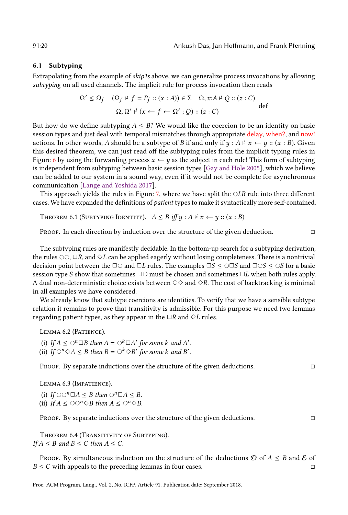#### <span id="page-19-0"></span>6.1 Subtyping

Extrapolating from the example of skip1s above, we can generalize process invocations by allowing subtyping on all used channels. The implicit rule for process invocation then reads

$$
\frac{\Omega' \leq \Omega_f \quad (\Omega_f \not\vdash f = P_f :: (x : A)) \in \Sigma \quad \Omega, x : A \not\vdash Q :: (z : C)}{\Omega, \Omega' \not\vdash (x \leftarrow f \leftarrow \Omega' ; Q) :: (z : C)} \quad \text{def}
$$

But how do we define subtyping  $A \leq B$ ? We would like the coercion to be an identity on basic session types and just deal with temporal mismatches through appropriate delay, when?, and now! actions. In other words, A should be a subtype of B if and only if  $y : A \nvdash x \leftarrow y :: (x : B)$ . Given this desired theorem, we can just read off the subtyping rules from the implicit typing rules in Figure [6](#page-18-0) by using the forwarding process  $x \leftarrow y$  as the subject in each rule! This form of subtyping is independent from subtyping between basic session types [\[Gay and Hole 2005\]](#page-28-12), which we believe can be added to our system in a sound way, even if it would not be complete for asynchronous communication [\[Lange and Yoshida 2017\]](#page-29-9).

This approach yields the rules in Figure [7,](#page-18-1) where we have split the  $\bigcirc LR$  rule into three different cases. We have expanded the definitions of patient types to make it syntactically more self-contained.

THEOREM 6.1 (SUBTYPING IDENTITY).  $A \leq B$  iff  $y : A \nvdash x \leftarrow y :: (x : B)$ 

Proof. In each direction by induction over the structure of the given deduction. □

The subtyping rules are manifestly decidable. In the bottom-up search for a subtyping derivation, the rules  $\circ \circ \circ \Box R$ , and  $\Diamond L$  can be applied eagerly without losing completeness. There is a nontrivial decision point between the  $\Box$  $\bigcirc$  and  $\Box L$  rules. The examples  $\Box S \leq \bigcirc \Box S$  and  $\Box \bigcirc S \leq \bigcirc S$  for a basic session type S show that sometimes  $\square \bigcirc$  must be chosen and sometimes  $\square L$  when both rules apply. A dual non-deterministic choice exists between  $\circ \diamond$  and  $\diamond R$ . The cost of backtracking is minimal in all examples we have considered.

We already know that subtype coercions are identities. To verify that we have a sensible subtype relation it remains to prove that transitivity is admissible. For this purpose we need two lemmas regarding patient types, as they appear in the  $\Box R$  and  $\Diamond L$  rules.

Lemma 6.2 (Patience).

(i) If  $A \leq \bigcirc^n \Box B$  then  $A = \bigcirc^k \Box A'$  for some k and A'. (ii) If  $\bigcirc^n \Diamond A \leq B$  then  $B = \bigcirc^k \Diamond B'$  for some k and B'.

PROOF. By separate inductions over the structure of the given deductions.  $\Box$ 

Lemma 6.3 (Impatience).

(i) If  $\bigcirc \bigcirc^n \Box A \leq B$  then  $\bigcirc^n \Box A \leq B$ . (ii) If  $A \leq \bigcirc \bigcirc^n \Diamond B$  then  $A \leq \bigcirc^n \Diamond B$ .

Proof. By separate inductions over the structure of the given deductions. □

Theorem 6.4 (Transitivity of Subtyping). If  $A \leq B$  and  $B \leq C$  then  $A \leq C$ .

PROOF. By simultaneous induction on the structure of the deductions  $D$  of  $A \leq B$  and  $\mathcal E$  of  $B \le C$  with appeals to the preceding lemmas in four cases.  $\square$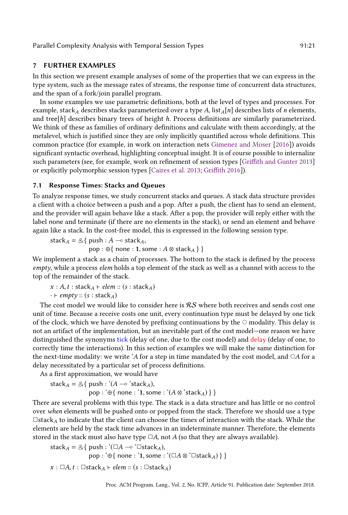# <span id="page-20-0"></span>7 FURTHER EXAMPLES

In this section we present example analyses of some of the properties that we can express in the type system, such as the message rates of streams, the response time of concurrent data structures, and the span of a fork/join parallel program.

In some examples we use parametric definitions, both at the level of types and processes. For example, stack<sub>A</sub> describes stacks parameterized over a type A, list<sub>A</sub>[n] describes lists of n elements, and tree $[h]$  describes binary trees of height h. Process definitions are similarly parameterized. We think of these as families of ordinary definitions and calculate with them accordingly, at the metalevel, which is justified since they are only implicitly quantified across whole definitions. This common practice (for example, in work on interaction nets [Gimenez and Moser](#page-28-8) [\[2016\]](#page-28-8)) avoids significant syntactic overhead, highlighting conceptual insight. It is of course possible to internalize such parameters (see, for example, work on refinement of session types [\[Griffith and Gunter 2013\]](#page-28-14) or explicitly polymorphic session types [\[Caires et al. 2013;](#page-28-15) [Griffith 2016\]](#page-28-16)).

#### 7.1 Response Times: Stacks and Queues

To analyze response times, we study concurrent stacks and queues. A stack data structure provides a client with a choice between a push and a pop. After a push, the client has to send an element, and the provider will again behave like a stack. After a pop, the provider will reply either with the label none and terminate (if there are no elements in the stack), or send an element and behave again like a stack. In the cost-free model, this is expressed in the following session type.

stack<sub>A</sub> =  $\&$ { push :  $A \rightarrow$  stack<sub>A</sub>,  $pop : \bigoplus \{ none : 1, some : A \otimes stack_A \}$ 

We implement a stack as a chain of processes. The bottom to the stack is defined by the process empty, while a process elem holds a top element of the stack as well as a channel with access to the top of the remainder of the stack.

$$
x : A, t : stack_A \vdash elem :: (s : stack_A) \\
 \vdots \vdash empty :: (s : stack_A)
$$

The cost model we would like to consider here is  $RS$  where both receives and sends cost one unit of time. Because a receive costs one unit, every continuation type must be delayed by one tick of the clock, which we have denoted by prefixing continuations by the  $\circ$  modality. This delay is not an artifact of the implementation, but an inevitable part of the cost model–one reason we have distinguished the synonyms tick (delay of one, due to the cost model) and delay (delay of one, to correctly time the interactions). In this section of examples we will make the same distinction for the next-time modality: we write 'A for a step in time mandated by the cost model, and  $\circ$ A for a delay necessitated by a particular set of process definitions.

As a first approximation, we would have

stack<sub>A</sub> = &{ push : ' $(A \rightarrow 'stack_A)$ , pop : '⊕{ none : '1, some : ' $(A \otimes 'stack_A)$  } }

There are several problems with this type. The stack is a data structure and has little or no control over when elements will be pushed onto or popped from the stack. Therefore we should use a type  $\Box$ stack<sub>A</sub> to indicate that the client can choose the times of interaction with the stack. While the elements are held by the stack time advances in an indeterminate manner. Therefore, the elements stored in the stack must also have type  $\Box A$ , not A (so that they are always available).

stack<sub>A</sub> = &{ push : '( $\Box A \rightarrow$  ' $\Box$ stack<sub>A</sub>), pop :  $\Theta$ { none : '1, some : ' $(\Box A \otimes \Box$ stack<sub>A</sub>) } }  $x : \Box A, t : \Box$ stack $A \vdash$ elem :: (s :  $\Box$ stack $A$ )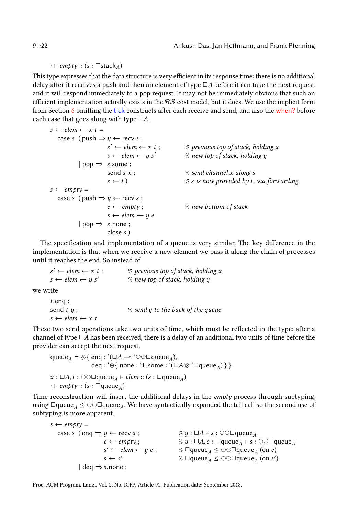$\cdot \vdash empty :: (s : \Box stack_A)$ 

This type expresses that the data structure is very efficient in its response time: there is no additional delay after it receives a push and then an element of type  $\Box A$  before it can take the next request, and it will respond immediately to a pop request. It may not be immediately obvious that such an efficient implementation actually exists in the  $RS$  cost model, but it does. We use the implicit form from Section [6](#page-17-0) omitting the tick constructs after each receive and send, and also the when? before each case that goes along with type  $\Box A$ .

 $s \leftarrow elem \leftarrow x$  t = case s ( push  $\Rightarrow$   $y \leftarrow$  recv s;  $s' \leftarrow elem \leftarrow x \ t$ ;  $%$  previous top of stack, holding x  $s \leftarrow elem \leftarrow y s'$  % new top of stack, holding y  $|$  pop  $\Rightarrow$  s.some; send s  $x$ ;  $\%$  send channel  $x$  along  $s$  $s \leftarrow t$  ) % s is now provided by t, via forwarding  $s \leftarrow \text{empty} =$ case s ( push  $\Rightarrow$  y  $\leftarrow$  recv s;  $e \leftarrow \text{empty}$ ;  $\%$  new bottom of stack  $s \leftarrow elem \leftarrow y e$ | pop ⇒ s.none ; close s )

The specification and implementation of a queue is very similar. The key difference in the implementation is that when we receive a new element we pass it along the chain of processes until it reaches the end. So instead of

 $s' \leftarrow elem \leftarrow x t$ ;  $%$  previous top of stack, holding x  $s \leftarrow elem \leftarrow y s'$  % new top of stack, holding y

we write

```
t.enq ;
send t \, y; \frac{1}{2} \frac{1}{2} \frac{1}{2} send y to the back of the queue
s \leftarrow elem \leftarrow x t
```
These two send operations take two units of time, which must be reflected in the type: after a channel of type  $\Box A$  has been received, there is a delay of an additional two units of time before the provider can accept the next request.

```
queue<sub>A</sub> = &{ enq : '(\Box A \rightarrow '\circlearrowright \circ \Boxqueue<sub>A</sub>),
                               \mathsf{deq} : \oplus \{ \text{ none} : \texttt{1}, \texttt{some} : \texttt{``}(\Box A \otimes \texttt{``} \Box \texttt{queue}_A) \, \} \, \}x : \Box A, t : \Diamond \Diamond \Boxqueue_A \vdash elem :: (s : \Boxqueue_A)\cdot \vdash empty :: (s : \squarequeue<sub>A</sub>)
```
Time reconstruction will insert the additional delays in the empty process through subtyping, using  $\Box$ queue $_A \leq \circ \odot \Box$ queue $_A$ . We have syntactically expanded the tail call so the second use of subtyping is more apparent.

```
s \leftarrow \text{empty} =case s (enq \Rightarrow y ← recv s; \%\ y : \Box A \vdash s : \odot \odot \Boxqueue<sub>A</sub>
                               e \leftarrow \textit{empty}; \%\ y : \Box A, e : \Box \textsf{queue}_A\% y : \Box A, e : \Boxqueue<sub>A</sub> \vdash s : \odot \odot \Boxqueue<sub>A</sub>
                               s' \leftarrow elem \leftarrow y \, e \, ; \qquad \% \Box \text{queue}_A \leq \bigcirc \bigcirc \Box \text{queue}_A \text{ (on } e\text{)}s \leftarrow s' % \Boxqueue<sub>A</sub> \leq \odot\Boxqueue<sub>A</sub> (on s'
                                                                        % \Boxqueue_A \leq \circlearrowright \odot \Boxqueue_A (on s')
                \vert deq \Rightarrow s.none ;
```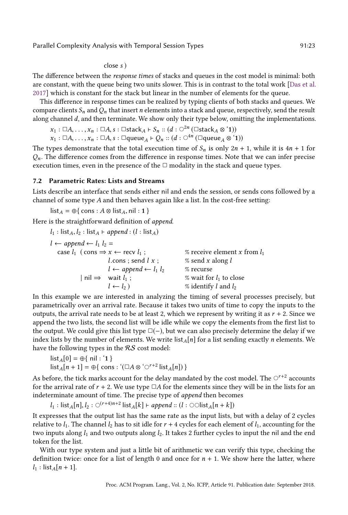#### close s )

The difference between the response times of stacks and queues in the cost model is minimal: both are constant, with the queue being two units slower. This is in contrast to the total work [\[Das et al.](#page-28-7) [2017\]](#page-28-7) which is constant for the stack but linear in the number of elements for the queue.

This difference in response times can be realized by typing clients of both stacks and queues. We compare clients  $S_n$  and  $Q_n$  that insert n elements into a stack and queue, respectively, send the result along channel  $d$ , and then terminate. We show only their type below, omitting the implementations.

```
x_1 : \Box A, \ldots, x_n : \Box A, s : \BoxstackA \vdash S_n :: (d : \bigcirc^{2n} (\Box \text{stack}_A \otimes \cdot \mathbf{1}))x_1 : \Box A, \ldots, x_n : \Box A, s : \Boxqueue_A \vdash Q_n :: (d : \bigcirc^{4n} (\Box \text{queue}_A \otimes \text{`1}))
```
The types demonstrate that the total execution time of  $S_n$  is only  $2n + 1$ , while it is  $4n + 1$  for  $Q_n$ . The difference comes from the difference in response times. Note that we can infer precise execution times, even in the presence of the  $\Box$  modality in the stack and queue types.

#### 7.2 Parametric Rates: Lists and Streams

Lists describe an interface that sends either nil and ends the session, or sends cons followed by a channel of some type  $A$  and then behaves again like a list. In the cost-free setting:

$$
list_A = \bigoplus \{ cons : A \otimes list_A, nil : 1 \}
$$

Here is the straightforward definition of append.

 $l_1$ : list<sub>A</sub>, $l_2$ : list<sub>A</sub> ⊢ append : (l : list<sub>A</sub>)  $l \leftarrow append \leftarrow l_1 l_2 =$ case  $l_1$  (cons ⇒  $x$  ← recv  $l_1$ ; % receive element x from  $l_1$ *l*.cons ; send  $l x$  ;  $\frac{1}{2}$  % send  $x$  along  $l$  $l \leftarrow append \leftarrow l_1 l_2$  % recurse<br>| nil  $\Rightarrow$  wait  $l_1$ ; % wait for  $\%$  wait for  $l_1$  to close  $l \leftarrow l_2$  ) % identify l and  $l_2$ 

In this example we are interested in analyzing the timing of several processes precisely, but parametrically over an arrival rate. Because it takes two units of time to copy the inputs to the outputs, the arrival rate needs to be at least 2, which we represent by writing it as  $r + 2$ . Since we append the two lists, the second list will be idle while we copy the elements from the first list to the output. We could give this list type  $\square(-)$ , but we can also precisely determine the delay if we index lists by the number of elements. We write  $\frac{\ln\{n\}}{n}$  for a list sending exactly *n* elements. We have the following types in the  $RS$  cost model:

$$
list_A[0] = \bigoplus \{ \text{ nil} : '1 \}
$$
  

$$
list_A[n+1] = \bigoplus \{ \text{ cons} : '(\square A \otimes ' \bigcirc^{r+2} \text{ list}_A[n]) \}
$$

As before, the tick marks account for the delay mandated by the cost model. The  $\circlearrowleft^{r+2}$  accounts for the arrival rate of  $r + 2$ . We use type  $\Box A$  for the elements since they will be in the lists for an indeterminate amount of time. The precise type of append then becomes

 $l_1$  : list<sub>A</sub>[n],  $l_2$  : ○<sup>(r+4)n+2</sup> list<sub>A</sub>[k] ⊢ append :: (l : ○○list<sub>A</sub>[n + k]) It expresses that the output list has the same rate as the input lists, but with a delay of 2 cycles relative to  $l_1$ . The channel  $l_2$  has to sit idle for  $r + 4$  cycles for each element of  $l_1$ , accounting for the two inputs along  $l_1$  and two outputs along  $l_2$ . It takes 2 further cycles to input the nil and the end token for the list.

With our type system and just a little bit of arithmetic we can verify this type, checking the definition twice: once for a list of length 0 and once for  $n + 1$ . We show here the latter, where  $l_1$  : list<sub>A</sub>[n + 1].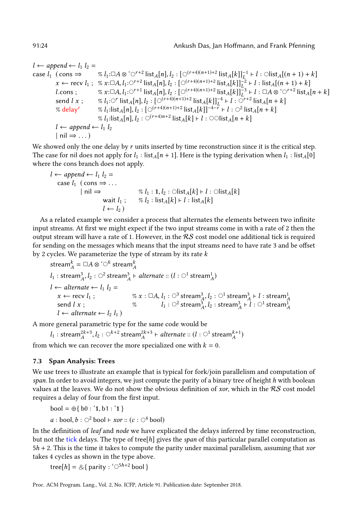```
l \leftarrow append \leftarrow l_1 \ l_2 =case l_1 (cons ⇒ % l_1:◯A \otimes \{C^{r+2} | \text{ist}_A[n], l_2 : [C^{(r+4)(n+1)+2} | \text{ist}_A[k]]_{L_2}^{-1} \vdash l : \text{Olist}_A[(n+1)+k]x \leftarrow \text{recv } l_1; % x: \Box A, l_1: \bigcirc^{r+2} \text{list}_A[n], l_2: \big[\bigcirc^{(r+4)(n+1)+2} \text{list}_A[k]\big]_{L_2}^{-2} \vdash l : \text{list}_A[(n+1)+k]l.cons ; % x:□A, l_1:○<sup>r+1</sup> list<sub>A</sub>[n], l_2 : [○<sup>(r+4)(n+1)+2</sup> list<sub>A</sub>[k]]<sub>\frac{1}{L}<sup>3</sup> + l : □A ⊗ '○<sup>r+2</sup> list<sub>A</sub>[n + k]</sub>
                send l x; \%\; l_1: \bigcirc^{r} list_A[n], l_2: \big[\bigcirc^{(r+4)(n+1)+2} list_A[k]\big]_L^{-4} \vdash \overline{l} : \bigcirc^{r+2} list_A[n+k]% delay<sup>r</sup> % l<sub>1</sub>:list<sub>A</sub>[n], l<sub>2</sub>: [\circ^{(r+4)(n+1)+2} list<sub>A</sub>[k]]<sup>-4-r</sup> + l : \circ^2 list<sub>A</sub>[n + k]
                                            % l_1:list<sub>A</sub>[n], l_2: ○<sup>(r+4)n+2</sup> list<sub>A</sub>[k] ⊢ l : ○○list<sub>A</sub>[n + k]
               l \leftarrow append \leftarrow l_1 \ l_2| \text{ nil} \Rightarrow ...
```
We showed only the one delay by  $r$  units inserted by time reconstruction since it is the critical step. The case for nil does not apply for  $l_1$  : list<sub>A</sub>[n + 1]. Here is the typing derivation when  $l_1$  : list<sub>A</sub>[0] where the cons branch does not apply.

$$
l \leftarrow append \leftarrow l_1 l_2 =
$$
  
\n
$$
\begin{array}{ll}\n & \text{case } l_1 \text{ (cons} \Rightarrow \dots \\
 & \text{inil} \Rightarrow \\
 & \text{wait } l_1; \\
 & \text{wait } l_2 \text{ : } \text{list}_A[k] + l : \text{list}_A[k] \\
 & \text{test}_A[k] + l : \text{list}_A[k]\n \end{array}
$$

As a related example we consider a process that alternates the elements between two infinite input streams. At first we might expect if the two input streams come in with a rate of 2 then the output stream will have a rate of 1. However, in the  $RS$  cost model one additional tick is required for sending on the messages which means that the input streams need to have rate 3 and be offset by 2 cycles. We parameterize the type of stream by its rate  $k$ 

stream<sup>k</sup> A = ✷A ⊗ '⃝<sup>k</sup> stream<sup>k</sup> A l<sup>1</sup> : stream<sup>3</sup> A ,l<sup>2</sup> : ⃝<sup>2</sup> stream<sup>3</sup> A ⊢ alternate :: (l : ⃝<sup>1</sup> stream<sup>1</sup> A ) l ← alternate ← l<sup>1</sup> l<sup>2</sup> = x ← recv l<sup>1</sup> ; % x : ✷A, l<sup>1</sup> : ⃝<sup>3</sup> stream<sup>3</sup> A ,l<sup>2</sup> : ⃝<sup>1</sup> stream<sup>3</sup> A ⊢ l : stream<sup>1</sup> A send l x ; % l<sup>1</sup> : ⃝<sup>2</sup> stream<sup>3</sup> A ,l<sup>2</sup> : stream<sup>3</sup> A ⊢ l : ⃝<sup>1</sup> stream<sup>1</sup> A l ← alternate ← l<sup>2</sup> l<sup>1</sup> )

A more general parametric type for the same code would be

 $l_1: \mathrm{stream}_A^{2k+3}, l_2: \bigcirc^{k+2} \mathrm{stream}_A^{2k+3} \vdash alternate::(l:\bigcirc^1 \mathrm{stream}_A^{k+1})$ 

from which we can recover the more specialized one with  $k = 0$ .

# 7.3 Span Analysis: Trees

We use trees to illustrate an example that is typical for fork/join parallelism and computation of span. In order to avoid integers, we just compute the parity of a binary tree of height  $h$  with boolean values at the leaves. We do not show the obvious definition of xor, which in the  $RS$  cost model requires a delay of four from the first input.

bool = ⊕{ b0 : '1, b1 : '1 }

 $a : \text{bool}, b : \bigcirc^2 \text{bool} \vdash x \text{ or} :: (c : \bigcirc^4 \text{bool})$ 

In the definition of leaf and node we have explicated the delays inferred by time reconstruction, but not the tick delays. The type of tree [h] gives the span of this particular parallel computation as  $5h + 2$ . This is the time it takes to compute the parity under maximal parallelism, assuming that *xor* takes 4 cycles as shown in the type above.

tree[h] =  $\&$ { parity : ' $\bigcirc^{5h+2}$  bool }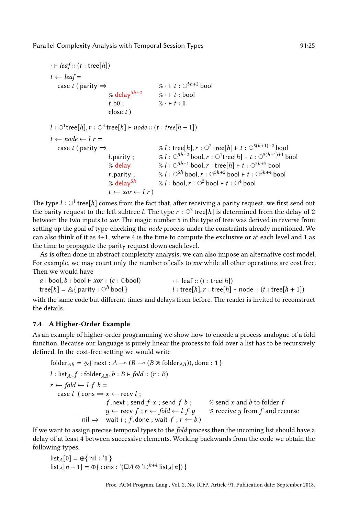$\cdot \vdash leaf :: (t : tree[h])$  $t \leftarrow leaf =$ case t ( parity  $\Rightarrow$  % · F t :  $\circ$ <sup>5h+2</sup> bool % delay<sup>5h+2</sup> % · ⊦ t : bool  $t.b0$  ;  $\% \cdot \vdash t : 1$ close  $t$ ) l :  $\bigcirc^1$ tree $[h], r : \bigcirc^3$  tree $[h] \vdash node :: (t : tree[h + 1])$  $t \leftarrow node \leftarrow l r =$ case t ( parity  $\Rightarrow$  % l : tree[h],  $r : \bigcirc^2$  tree[h]  $\vdash t : \bigcirc^{5(h+1)+2}$  bool l.parity ;  $\% l : \circlearrowleft^{5h+2} \text{bool}, r : \circlearrowleft^{1} \text{tree}[h] \vdash t : \circlearrowleft^{5(h+1)+1} \text{bool}$ % delay  $\% l : \bigcirc^{5h+1} \text{bool}, r : \text{tree}[h] \vdash t : \bigcirc^{5h+5} \text{bool}$ r.parity ;  $\% l : \circlearrowleft^{5h} \text{bool}, r : \circlearrowleft^{5h+2} \text{bool} \vdash t : \circlearrowleft^{5h+4} \text{bool}$ % delay $5^h$  % l : bool,  $r:\bigcirc^2$  bool ⊢ t :  $\bigcirc^4$  bool  $t \leftarrow xor \leftarrow l r$ 

The type  $l: \bigcirc^1$  tree[h] comes from the fact that, after receiving a parity request, we first send out the parity request to the left subtree  $l.$  The type  $r : \bigcirc^3$  tree[ $h$ ] is determined from the delay of 2 between the two inputs to xor. The magic number 5 in the type of tree was derived in reverse from setting up the goal of type-checking the node process under the constraints already mentioned. We can also think of it as 4+1, where 4 is the time to compute the exclusive or at each level and 1 as the time to propagate the parity request down each level.

As is often done in abstract complexity analysis, we can also impose an alternative cost model. For example, we may count only the number of calls to *xor* while all other operations are cost free. Then we would have

$$
a : \text{bool}, b : \text{bool} \vdash x \text{or} :: (c : \text{Obool}) \qquad \qquad \cdot \vdash \text{leaf} :: (t : \text{tree}[h])
$$
\n
$$
\text{tree}[h] = \bigotimes \{ \text{parity} : \bigcirc^h \text{bool} \}
$$
\n
$$
l : \text{tree}[h], r : \text{tree}[h] \vdash \text{node} :: (t : \text{tree}[h+1])
$$

with the same code but different times and delays from before. The reader is invited to reconstruct the details.

# 7.4 A Higher-Order Example

As an example of higher-order programming we show how to encode a process analogue of a fold function. Because our language is purely linear the process to fold over a list has to be recursively defined. In the cost-free setting we would write

\n
$$
\begin{aligned}\n &\text{folder}_{AB} = \mathcal{L}\{ \text{ next}: A \multimap (B \multimap (B \otimes \text{folder}_{AB})), \text{done}: 1} \\
 &\text{l}: \text{list}_A, f: \text{folder}_{AB}, b: B \vdash \text{fold} :: (r:B) \\
 &\text{r} \leftarrow \text{fold} \leftarrow l \text{ f } b = \\
 &\text{case } l \text{ (cons} \Rightarrow x \leftarrow \text{recv } l; \\
 &\text{f.next}; \text{send } f \text{ x}; \text{send } f \text{ b}; \\
 &\text{w} \leftarrow \text{recv } f; r \leftarrow \text{fold} \leftarrow l \text{ f } y \text{ % receive } y \text{ from } f \text{ and recursive} \\
 &\text{all } \Rightarrow \text{wait } l; f. \text{done}; \text{wait } f; r \leftarrow b\n \end{aligned}
$$
\n

If we want to assign precise temporal types to the fold process then the incoming list should have a delay of at least 4 between successive elements. Working backwards from the code we obtain the following types.

$$
list_A[0] = \bigoplus \{ nil : '1 \}
$$
  

$$
list_A[n+1] = \bigoplus \{ cons : '(\Box A \otimes ' \bigcirc^{k+4} list_A[n]) \}
$$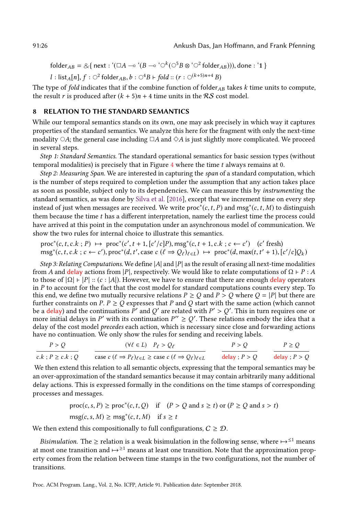folder<sub>AB</sub> = &{ next : '( $\Box A \rightarrow$  '( $B \rightarrow \degree$ )<sup>k</sup>( $\bigcirc$ <sup>5</sup> $B \otimes \degree$ )<sup>2</sup> folder<sub>AB</sub>))), done : '1 }

$$
l: list_A[n], f: \bigcirc^2 folder_{AB}, b: \bigcirc^4 B \vdash fold :: (r: \bigcirc^{(k+5)n+4} B)
$$

The type of fold indicates that if the combine function of folder $_{AB}$  takes k time units to compute, the result r is produced after  $(k + 5)n + 4$  time units in the RS cost model.

# <span id="page-25-0"></span>8 RELATION TO THE STANDARD SEMANTICS

While our temporal semantics stands on its own, one may ask precisely in which way it captures properties of the standard semantics. We analyze this here for the fragment with only the next-time modality  $\circ$ A; the general case including  $\Box A$  and  $\diamond A$  is just slightly more complicated. We proceed in several steps.

Step 1: Standard Semantics. The standard operational semantics for basic session types (without temporal modalities) is precisely that in Figure  $4$  where the time  $t$  always remains at 0.

Step 2: Measuring Span. We are interested in capturing the span of a standard computation, which is the number of steps required to completion under the assumption that any action takes place as soon as possible, subject only to its dependencies. We can measure this by instrumenting the standard semantics, as was done by [Silva et al.](#page-29-4) [\[2016\]](#page-29-4), except that we increment time on every step instead of just when messages are received. We write  $\mathsf{proc}^*(c,t,P)$  and  $\mathsf{msg}^*(c,t,M)$  to distinguish them because the time t has a different interpretation, namely the earliest time the process could have arrived at this point in the computation under an asynchronous model of communication. We show the two rules for internal choice to illustrate this semantics.

$$
\text{proc}^*(c, t, c.k; P) \mapsto \text{proc}^*(c', t+1, [c'/c]P), \text{msg}^*(c, t+1, c.k; c \leftarrow c') \quad (c' \text{ fresh})
$$
  

$$
\text{msg}^*(c, t, c.k; c \leftarrow c'), \text{proc}^*(d, t', \text{case } c \ (\ell \Rightarrow Q_{\ell})_{\ell \in L}) \mapsto \text{proc}^*(d, \text{max}(t, t'+1), [c'/c]Q_k)
$$

Step 3: Relating Computations. We define  $|A|$  and  $|P|$  as the result of erasing all next-time modalities from A and delay actions from |P|, respectively. We would like to relate computations of  $\Omega$  ⊢ P : A to those of  $|\Omega|$  ⊢  $|P|$  ::  $(c : |A|)$ . However, we have to ensure that there are enough delay operators in  $P$  to account for the fact that the cost model for standard computations counts every step. To this end, we define two mutually recursive relations  $P \ge Q$  and  $P > Q$  where  $Q = |P|$  but there are further constraints on P.  $P \geq Q$  expresses that P and Q start with the same action (which cannot be a delay) and the continuations  $\tilde{P}'$  and  $Q'$  are related with  $P' > Q'$ . This in turn requires one or more initial delays in P' with its continuation  $P'' \ge Q'$ . These relations embody the idea that a delay of the cost model precedes each action, which is necessary since close and forwarding actions have no continuation. We only show the rules for sending and receiving labels.

$$
\frac{P > Q}{c.k : P \ge c.k : Q} \qquad \frac{(\forall \ell \in L) \quad P_{\ell} > Q_{\ell}}{\text{case } c \ (\ell \Rightarrow P_{\ell})_{\ell \in L} \ge \text{case } c \ (\ell \Rightarrow Q_{\ell})_{\ell \in L}} \qquad \frac{P > Q}{\text{delay }; P > Q} \qquad \frac{P \ge Q}{\text{delay }; P > Q}
$$

We then extend this relation to all semantic objects, expressing that the temporal semantics may be an over-approximation of the standard semantics because it may contain arbitrarily many additional delay actions. This is expressed formally in the conditions on the time stamps of corresponding processes and messages.

$$
\text{proc}(c, s, P) \ge \text{proc}^*(c, t, Q) \quad \text{if} \quad (P > Q \text{ and } s \ge t) \text{ or } (P \ge Q \text{ and } s > t)
$$
\n
$$
\text{msg}(c, s, M) \ge \text{msg}^*(c, t, M) \quad \text{if} \quad s \ge t
$$

We then extend this compositionally to full configurations,  $C \geq \mathcal{D}$ .

*Bisimulation.* The  $\geq$  relation is a weak bisimulation in the following sense, where  $\mapsto^{\leq 1}$  means at most one transition and  $\rightarrow$ <sup>≥1</sup> means at least one transition. Note that the approximation property comes from the relation between time stamps in the two configurations, not the number of transitions.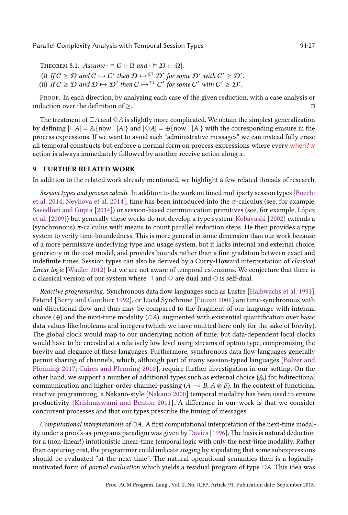THEOREM 8.1. Assume  $\cdot \vDash C :: \Omega$  and  $\cdot \vDash \mathcal{D} :: |\Omega|$ . (i) If  $C \geq D$  and  $C \mapsto C'$  then  $D \mapsto ^{\leq 1} D'$  for some  $D'$  with  $C' \geq D'$ . (ii) If  $C \ge D$  and  $D \mapsto D'$  then  $C \mapsto e^{\ge 1} C'$  for some  $C'$  with  $C' \ge D'$ .

Proof. In each direction, by analyzing each case of the given reduction, with a case analysis or induction over the definition of  $\geq$ .

The treatment of  $\Box A$  and  $\diamond A$  is slightly more complicated. We obtain the simplest generalization by defining  $|\Box A| = \&$ {now : |A|} and  $|\Diamond A| = \oplus$ {now : |A|} with the corresponding erasure in the process expressions. If we want to avoid such "administrative messages" we can instead fully erase all temporal constructs but enforce a normal form on process expressions where every when?  $x$ action is always immediately followed by another receive action along x.

# <span id="page-26-0"></span>9 FURTHER RELATED WORK

In addition to the related work already mentioned, we highlight a few related threads of research.

Session types and process calculi. In addition to the work on timed multiparty session types [\[Bocchi](#page-28-9) [et al.](#page-28-9) [2014;](#page-28-9) [Neykova et al.](#page-29-3) [2014\]](#page-29-3), time has been introduced into the  $\pi$ -calculus (see, for example, [Saeedloei and Gupta](#page-29-10) [\[2014\]](#page-29-10)) or session-based communication primitives (see, for example, [López](#page-29-11) [et al.](#page-29-11) [\[2009\]](#page-29-11)) but generally these works do not develop a type system. [Kobayashi](#page-29-12) [\[2002\]](#page-29-12) extends a (synchronous)  $\pi$ -calculus with means to count parallel reduction steps. He then provides a type system to verify time-boundedness. This is more general in some dimension than our work because of a more permissive underlying type and usage system, but it lacks internal and external choice, genericity in the cost model, and provides bounds rather than a fine gradation between exact and indefinite times. Session types can also be derived by a Curry-Howard interpretation of classical linear logic [\[Wadler 2012\]](#page-29-13) but we are not aware of temporal extensions. We conjecture that there is a classical version of our system where  $\Box$  and  $\diamond$  are dual and  $\Diamond$  is self-dual.

Reactive programming. Synchronous data flow languages such as Lustre [\[Halbwachs et al.](#page-28-17) [1991\]](#page-28-17), Esterel [\[Berry and Gonthier 1992\]](#page-28-18), or Lucid Synchrone [\[Pouzet 2006\]](#page-29-14) are time-synchronous with uni-directional flow and thus may be compared to the fragment of our language with internal choice (⊕) and the next-time modality ( $\circ$ A), augmented with existential quantification over basic data values like booleans and integers (which we have omitted here only for the sake of brevity). The global clock would map to our underlying notion of time, but data-dependent local clocks would have to be encoded at a relatively low level using streams of option type, compromising the brevity and elegance of these languages. Furthermore, synchronous data flow languages generally permit sharing of channels, which, although part of many session-typed languages [\[Balzer and](#page-28-11) [Pfenning 2017;](#page-28-11) [Caires and Pfenning 2010\]](#page-28-5), require further investigation in our setting. On the other hand, we support a number of additional types such as external choice  $(\&)$  for bidirectional communication and higher-order channel-passing ( $A \sim B$ ,  $A \otimes B$ ). In the context of functional reactive programming, a Nakano-style [\[Nakano 2000\]](#page-29-15) temporal modality has been used to ensure productivity [\[Krishnaswami and Benton 2011\]](#page-29-16). A difference in our work is that we consider concurrent processes and that our types prescribe the timing of messages.

Computational interpretations of  $\circ$ A. A first computational interpretation of the next-time modality under a proofs-as-programs paradigm was given by [Davies](#page-28-19) [\[1996\]](#page-28-19). The basis is natural deduction for a (non-linear!) intutionistic linear-time temporal logic with only the next-time modality. Rather than capturing cost, the programmer could indicate staging by stipulating that some subexpressions should be evaluated "at the next time". The natural operational semantics then is a logicallymotivated form of partial evaluation which yields a residual program of type  $\circ A$ . This idea was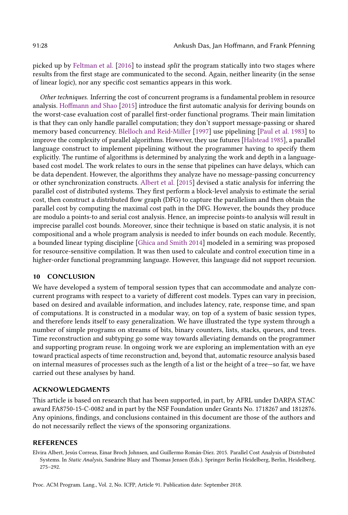picked up by [Feltman et al.](#page-28-20) [\[2016\]](#page-28-20) to instead split the program statically into two stages where results from the first stage are communicated to the second. Again, neither linearity (in the sense of linear logic), nor any specific cost semantics appears in this work.

Other techniques. Inferring the cost of concurrent programs is a fundamental problem in resource analysis. [Hoffmann and Shao](#page-28-21) [\[2015\]](#page-28-21) introduce the first automatic analysis for deriving bounds on the worst-case evaluation cost of parallel first-order functional programs. Their main limitation is that they can only handle parallel computation; they don't support message-passing or shared memory based concurrency. [Blelloch and Reid-Miller](#page-28-22) [\[1997\]](#page-28-22) use pipelining [\[Paul et al.](#page-29-17) [1983\]](#page-29-17) to improve the complexity of parallel algorithms. However, they use futures [\[Halstead 1985\]](#page-28-23), a parallel language construct to implement pipelining without the programmer having to specify them explicitly. The runtime of algorithms is determined by analyzing the work and depth in a languagebased cost model. The work relates to ours in the sense that pipelines can have delays, which can be data dependent. However, the algorithms they analyze have no message-passing concurrency or other synchronization constructs. [Albert et al.](#page-27-0) [\[2015\]](#page-27-0) devised a static analysis for inferring the parallel cost of distributed systems. They first perform a block-level analysis to estimate the serial cost, then construct a distributed flow graph (DFG) to capture the parallelism and then obtain the parallel cost by computing the maximal cost path in the DFG. However, the bounds they produce are modulo a points-to and serial cost analysis. Hence, an imprecise points-to analysis will result in imprecise parallel cost bounds. Moreover, since their technique is based on static analysis, it is not compositional and a whole program analysis is needed to infer bounds on each module. Recently, a bounded linear typing discipline [\[Ghica and Smith 2014\]](#page-28-24) modeled in a semiring was proposed for resource-sensitive compilation. It was then used to calculate and control execution time in a higher-order functional programming language. However, this language did not support recursion.

#### 10 CONCLUSION

We have developed a system of temporal session types that can accommodate and analyze concurrent programs with respect to a variety of different cost models. Types can vary in precision, based on desired and available information, and includes latency, rate, response time, and span of computations. It is constructed in a modular way, on top of a system of basic session types, and therefore lends itself to easy generalization. We have illustrated the type system through a number of simple programs on streams of bits, binary counters, lists, stacks, queues, and trees. Time reconstruction and subtyping go some way towards alleviating demands on the programmer and supporting program reuse. In ongoing work we are exploring an implementation with an eye toward practical aspects of time reconstruction and, beyond that, automatic resource analysis based on internal measures of processes such as the length of a list or the height of a tree–so far, we have carried out these analyses by hand.

# ACKNOWLEDGMENTS

This article is based on research that has been supported, in part, by AFRL under DARPA STAC award FA8750-15-C-0082 and in part by the NSF Foundation under Grants No. 1718267 and 1812876. Any opinions, findings, and conclusions contained in this document are those of the authors and do not necessarily reflect the views of the sponsoring organizations.

# REFERENCES

<span id="page-27-0"></span>Elvira Albert, Jesús Correas, Einar Broch Johnsen, and Guillermo Román-Díez. 2015. Parallel Cost Analysis of Distributed Systems. In Static Analysis, Sandrine Blazy and Thomas Jensen (Eds.). Springer Berlin Heidelberg, Berlin, Heidelberg,  $275 - 292.$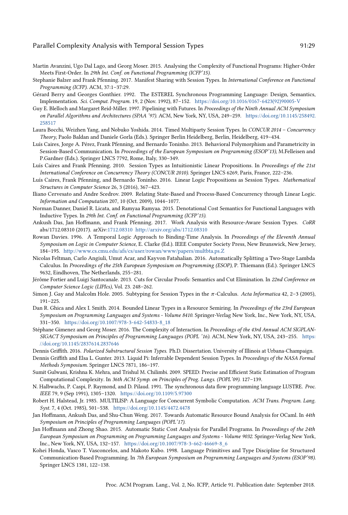- <span id="page-28-1"></span>Martin Avanzini, Ugo Dal Lago, and Georg Moser. 2015. Analysing the Complexity of Functional Programs: Higher-Order Meets First-Order. In 29th Int. Conf. on Functional Programming (ICFP'15).
- <span id="page-28-11"></span>Stephanie Balzer and Frank Pfenning. 2017. Manifest Sharing with Session Types. In International Conference on Functional Programming (ICFP). ACM, 37:1-37:29.
- <span id="page-28-18"></span>Gérard Berry and Georges Gonthier. 1992. The ESTEREL Synchronous Programming Language: Design, Semantics, Implementation. Sci. Comput. Program. 19, 2 (Nov. 1992), 87-152. [https://doi.org/10.1016/0167-6423\(92\)90005-V](https://doi.org/10.1016/0167-6423(92)90005-V)
- <span id="page-28-22"></span>Guy E. Blelloch and Margaret Reid-Miller. 1997. Pipelining with Futures. In Proceedings of the Ninth Annual ACM Symposium on Parallel Algorithms and Architectures (SPAA '97). ACM, New York, NY, USA, 249-259. [https://doi.org/10.1145/258492.](https://doi.org/10.1145/258492.258517) [258517](https://doi.org/10.1145/258492.258517)
- <span id="page-28-9"></span>Laura Bocchi, Weizhen Yang, and Nobuko Yoshida. 2014. Timed Multiparty Session Types. In CONCUR 2014 - Concurrency Theory, Paolo Baldan and Daniele Gorla (Eds.). Springer Berlin Heidelberg, Berlin, Heidelberg, 419–434.
- <span id="page-28-15"></span>Luís Caires, Jorge A. Pérez, Frank Pfenning, and Bernardo Toninho. 2013. Behavioral Polymorphism and Parametricity in Session-Based Communication. In Proceedings of the European Symposium on Programming (ESOP'13), M.Felleisen and P.Gardner (Eds.). Springer LNCS 7792, Rome, Italy, 330-349.
- <span id="page-28-5"></span>Luís Caires and Frank Pfenning. 2010. Session Types as Intuitionistic Linear Propositions. In Proceedings of the 21st International Conference on Concurrency Theory (CONCUR 2010). Springer LNCS 6269, Paris, France, 222-236.
- <span id="page-28-6"></span>Luís Caires, Frank Pfenning, and Bernardo Toninho. 2016. Linear Logic Propositions as Session Types. Mathematical Structures in Computer Science 26, 3 (2016), 367-423.
- <span id="page-28-10"></span>Iliano Cervesato and Andre Scedrov. 2009. Relating State-Based and Process-Based Concurrency through Linear Logic. Information and Computation 207, 10 (Oct. 2009), 1044-1077.
- <span id="page-28-0"></span>Norman Danner, Daniel R. Licata, and Ramyaa Ramyaa. 2015. Denotational Cost Semantics for Functional Languages with Inductive Types. In 29th Int. Conf. on Functional Programming (ICFP'15).
- <span id="page-28-7"></span>Ankush Das, Jan Hoffmann, and Frank Pfenning. 2017. Work Analysis with Resource-Aware Session Types. CoRR abs/1712.08310 (2017). arXiv[:1712.08310 http://arxiv.org/abs/1712.08310](http://arxiv.org/abs/1712.08310)
- <span id="page-28-19"></span>Rowan Davies. 1996. A Temporal Logic Approach to Binding-Time Analysis. In Proceedings of the Eleventh Annual Symposium on Logic in Computer Science, E. Clarke (Ed.). IEEE Computer Society Press, New Brunswick, New Jersey, 184-195. <http://www.cs.cmu.edu/afs/cs/user/rowan/www/papers/multbta.ps.Z>
- <span id="page-28-20"></span>Nicolas Feltman, Carlo Angiuli, Umut Acar, and Kayvon Fatahalian. 2016. Automatically Splitting a Two-Stage Lambda Calculus. In Proceedings of the 25th European Symposium on Programming (ESOP), P. Thiemann (Ed.). Springer LNCS 9632, Eindhoven, The Netherlands, 255-281.
- <span id="page-28-13"></span>Jérôme Fortier and Luigi Santocanale. 2013. Cuts for Circular Proofs: Semantics and Cut Elimination. In 22nd Conference on Computer Science Logic (LIPIcs), Vol. 23. 248-262.
- <span id="page-28-12"></span>Simon J. Gay and Malcolm Hole. 2005. Subtyping for Session Types in the  $\pi$ -Calculus. Acta Informatica 42, 2-3 (2005),  $191 - 225$ .
- <span id="page-28-24"></span>Dan R. Ghica and Alex I. Smith. 2014. Bounded Linear Types in a Resource Semiring. In Proceedings of the 23rd European Symposium on Programming Languages and Systems - Volume 8410. Springer-Verlag New York, Inc., New York, NY, USA, 331-350. [https://doi.org/10.1007/978-3-642-54833-8\\_18](https://doi.org/10.1007/978-3-642-54833-8_18)
- <span id="page-28-8"></span>Stéphane Gimenez and Georg Moser. 2016. The Complexity of Interaction. In Proceedings of the 43rd Annual ACM SIGPLANSIGACT Symposium on Principles of Programming Languages (POPL '16). ACM, New York, NY, USA, 243-255. [https:](https://doi.org/10.1145/2837614.2837646) [//doi.org/10.1145/2837614.2837646](https://doi.org/10.1145/2837614.2837646)
- <span id="page-28-16"></span>Dennis Griffith. 2016. Polarized Substructural Session Types. Ph.D. Dissertation. University of Illinois at Urbana-Champaign.
- <span id="page-28-14"></span>Dennis Griffith and Elsa L. Gunter. 2013. Liquid Pi: Inferrable Dependent Session Types. In Proceedings of the NASA Formal Methods Symposium. Springer LNCS 7871, 186-197.
- <span id="page-28-2"></span>Sumit Gulwani, Krishna K. Mehra, and Trishul M. Chilimbi. 2009. SPEED: Precise and Efficient Static Estimation of Program Computational Complexity. In 36th ACM Symp. on Principles of Prog. Langs. (POPL'09). 127-139.
- <span id="page-28-17"></span>N. Halbwachs, P. Caspi, P. Raymond, and D. Pilaud. 1991. The synchronous data flow programming language LUSTRE. Proc. IEEE 79, 9 (Sep 1991), 1305-1320. <https://doi.org/10.1109/5.97300>
- <span id="page-28-23"></span>Robert H. Halstead, Jr. 1985. MULTILISP: A Language for Concurrent Symbolic Computation. ACM Trans. Program. Lang. Syst. 7, 4 (Oct. 1985), 501-538. <https://doi.org/10.1145/4472.4478>
- <span id="page-28-3"></span>Jan Hoffmann, Ankush Das, and Shu-Chun Weng. 2017. Towards Automatic Resource Bound Analysis for OCaml. In 44th Symposium on Principles of Programming Languages (POPL'17).
- <span id="page-28-21"></span>Jan Hoffmann and Zhong Shao. 2015. Automatic Static Cost Analysis for Parallel Programs. In Proceedings of the 24th European Symposium on Programming on Programming Languages and Systems - Volume 9032. Springer-Verlag New York, Inc., New York, NY, USA, 132-157. [https://doi.org/10.1007/978-3-662-46669-8\\_6](https://doi.org/10.1007/978-3-662-46669-8_6)
- <span id="page-28-4"></span>Kohei Honda, Vasco T. Vasconcelos, and Makoto Kubo. 1998. Language Primitives and Type Discipline for Structured Communication-Based Programming. In 7th European Symposium on Programming Languages and Systems (ESOP'98). Springer LNCS 1381, 122-138.